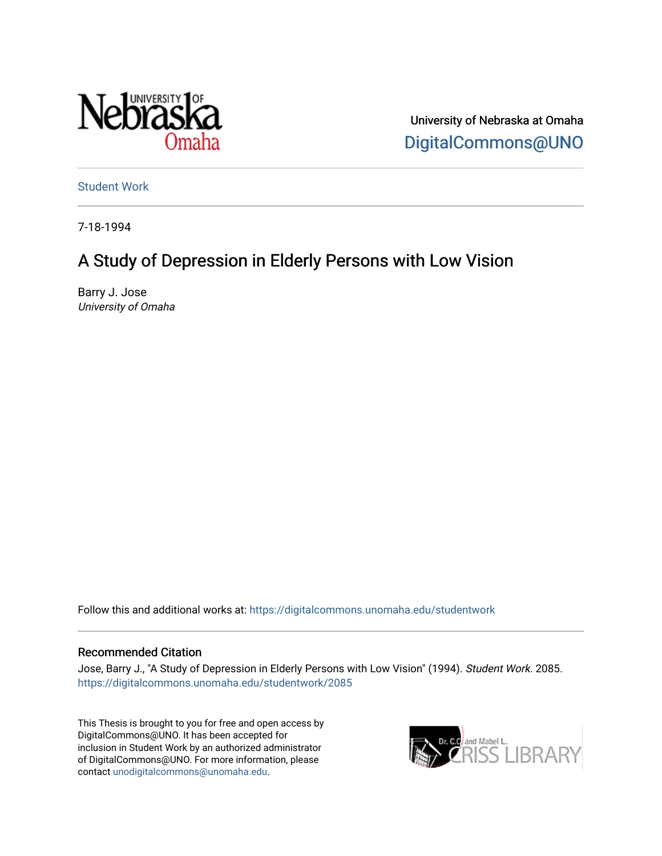

University of Nebraska at Omaha [DigitalCommons@UNO](https://digitalcommons.unomaha.edu/) 

[Student Work](https://digitalcommons.unomaha.edu/studentwork) 

7-18-1994

# A Study of Depression in Elderly Persons with Low Vision

Barry J. Jose University of Omaha

Follow this and additional works at: [https://digitalcommons.unomaha.edu/studentwork](https://digitalcommons.unomaha.edu/studentwork?utm_source=digitalcommons.unomaha.edu%2Fstudentwork%2F2085&utm_medium=PDF&utm_campaign=PDFCoverPages)

#### Recommended Citation

Jose, Barry J., "A Study of Depression in Elderly Persons with Low Vision" (1994). Student Work. 2085. [https://digitalcommons.unomaha.edu/studentwork/2085](https://digitalcommons.unomaha.edu/studentwork/2085?utm_source=digitalcommons.unomaha.edu%2Fstudentwork%2F2085&utm_medium=PDF&utm_campaign=PDFCoverPages) 

This Thesis is brought to you for free and open access by DigitalCommons@UNO. It has been accepted for inclusion in Student Work by an authorized administrator of DigitalCommons@UNO. For more information, please contact [unodigitalcommons@unomaha.edu](mailto:unodigitalcommons@unomaha.edu).

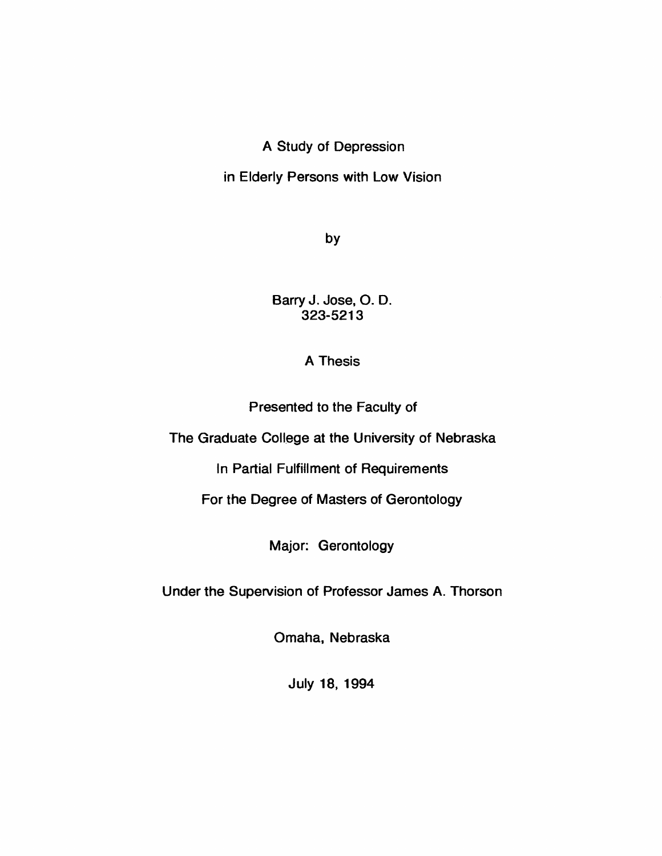## A Study of Depression

## in Elderly Persons with Low Vision

by

Barry J. Jose, O. D. 323-5213

### A Thesis

Presented to the Faculty of

The Graduate College at the University of Nebraska

In Partial Fulfillment of Requirements

For the Degree of Masters of Gerontology

Major: Gerontology

Under the Supervision of Professor James A. Thorson

Omaha, Nebraska

July 18, 1994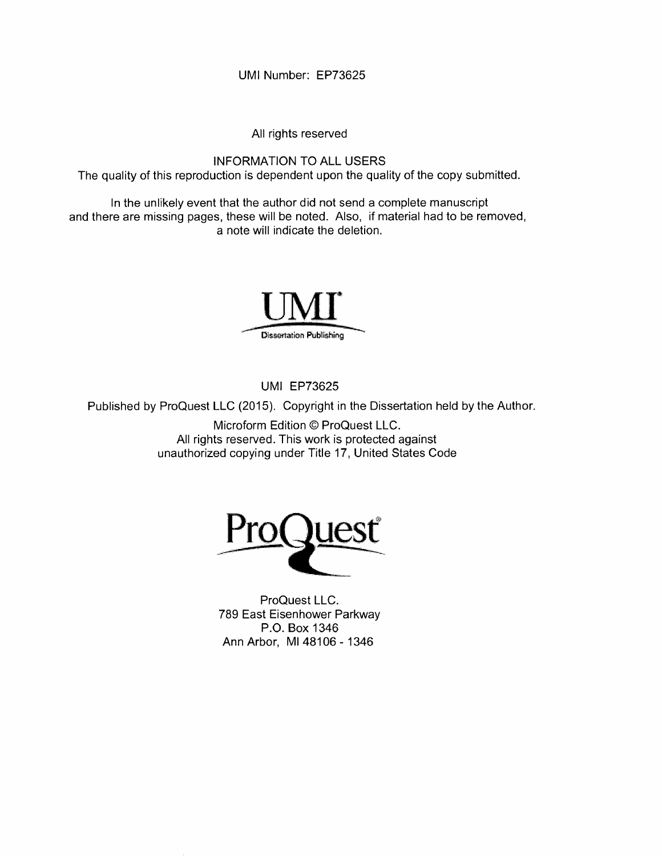**UMI Number: EP73625**

All rights reserved

INFORMATION TO ALL USERS The quality of this reproduction is dependent upon the quality of the copy submitted.

In the unlikely event that the author did not send a complete manuscript and there are missing pages, these will be noted. Also, if material had to be removed, a note will indicate the deletion.



UMI EP73625

Published by ProQuest LLC (2015). Copyright in the Dissertation held by the Author.

Microform Edition © ProQuest LLC. All rights reserved. This work is protected against unauthorized copying under Title 17, United States Code



ProQuest LLC. 789 East Eisenhower Parkway P.O. Box 1346 Ann Arbor, Ml 48106- 1346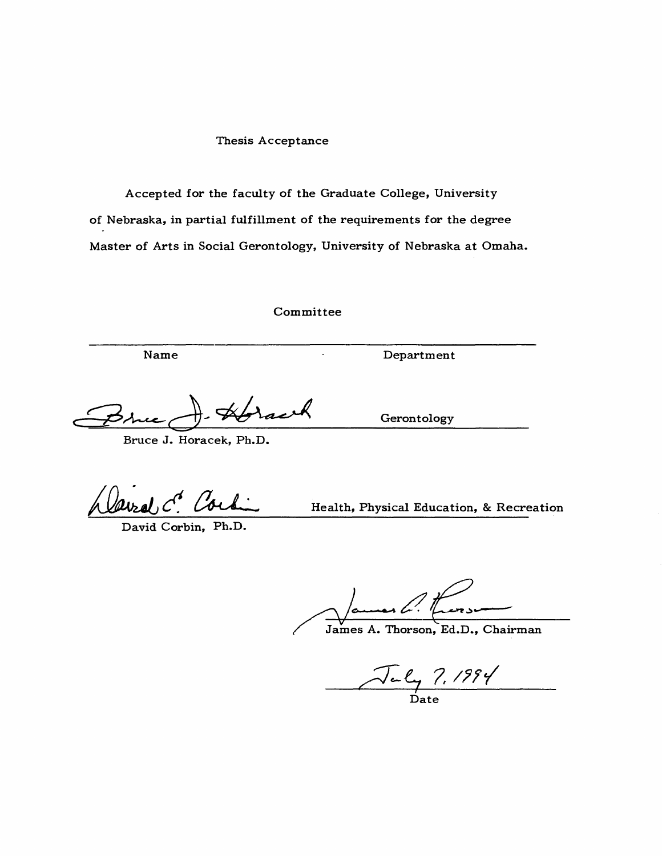#### **Thesis Acceptance**

Accepted for the faculty of the Graduate College, University of Nebraska, in partial fulfillment of the requirements for the degree Master of Arts in Social Gerontology, University of Nebraska at Omaha.

**C o m m ittee**

Bruce J. Horacek, Ph.D.

David Corbin, Ph.D.

Health, Physical Education, & Recreation

James A. Thorson, Ed.D., Chairman

July 7, 1994

Gerontology

**Name Department**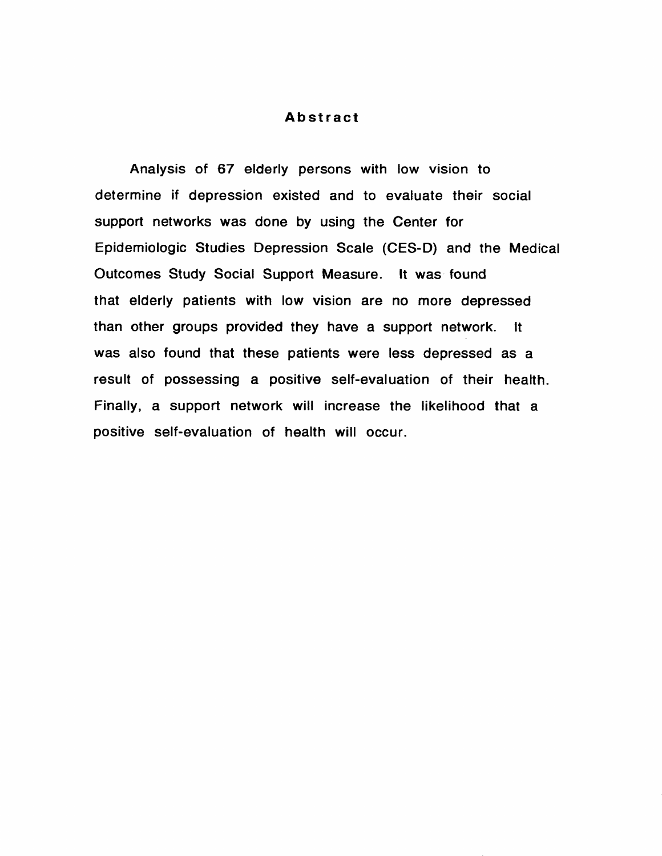#### **Abstract**

Analysis of 67 elderly persons with low vision to determine if depression existed and to evaluate their social support networks was done by using the Center for Epidemiologic Studies Depression Scale (CES-D) and the Medical Outcomes Study Social Support Measure. It was found that elderly patients with low vision are no more depressed than other groups provided they have a support network. It was also found that these patients were less depressed as a result of possessing a positive self-evaluation of their health. Finally, a support network will increase the likelihood that a positive self-evaluation of health will occur.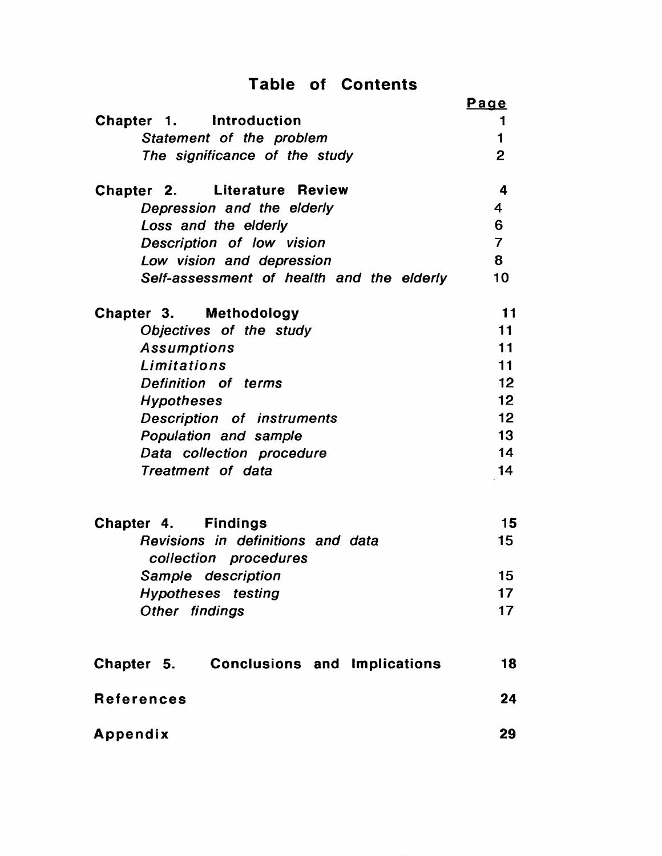# **Table of Contents**

|                                                            | Page            |
|------------------------------------------------------------|-----------------|
| Chapter 1. Introduction                                    | 1               |
| Statement of the problem                                   | $\blacksquare$  |
| The significance of the study                              | $\overline{2}$  |
| <b>Chapter 2. Literature Review</b>                        | 4               |
| Depression and the elderly                                 | 4               |
| Loss and the elderly                                       | $6\overline{6}$ |
| Description of low vision                                  | $\overline{7}$  |
| Low vision and depression                                  | 8               |
| Self-assessment of health and the elderly                  | 10 <sub>1</sub> |
| Chapter 3. Methodology                                     | 11              |
| Objectives of the study                                    | 11              |
| Assumptions                                                | 11              |
| Limitations                                                | 11              |
| Definition of terms                                        | 12              |
| <b>Hypotheses</b>                                          | 12              |
| <b>Description of instruments</b>                          | 12              |
| Population and sample                                      | 13              |
| Data collection procedure                                  | 14              |
| Treatment of data                                          | 14              |
| Chapter 4. Findings                                        | 15              |
| Revisions in definitions and data<br>collection procedures | 15              |
| Sample description                                         | 15              |
| <b>Hypotheses</b> testing                                  | 17              |
| Other findings                                             | 17              |
|                                                            |                 |
| Chapter 5. Conclusions and Implications                    | 18              |
| <b>References</b>                                          | 24              |
| Appendix                                                   | 29              |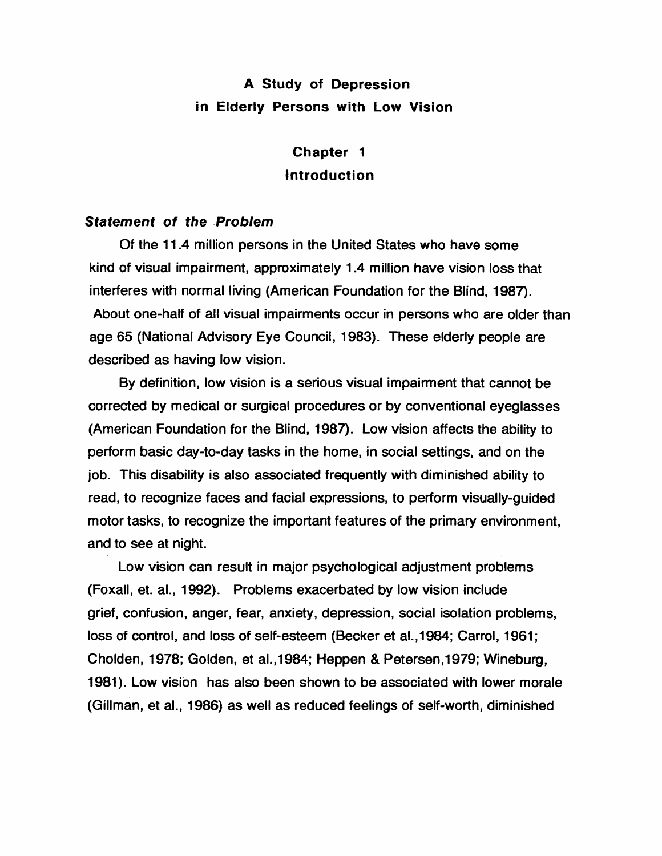# **A Study of Depression in Eiderty Persons with Low Vision**

# **Chapter 1 Introduction**

#### *Statement of the Problem*

Of the 11.4 million persons in the United States who have some kind of visual impairment, approximately 1.4 million have vision loss that interferes with normal living (American Foundation for the Blind, 1987). About one-half of all visual impairments occur in persons who are older than age 65 (National Advisory Eye Council, 1983). These elderly people are described as having low vision.

By definition, low vision is a serious visual impairment that cannot be corrected by medical or surgical procedures or by conventional eyeglasses (American Foundation for the Blind, 1987). Low vision affects the ability to perform basic day-to-day tasks in the home, in social settings, and on the job. This disability is also associated frequently with diminished ability to read, to recognize faces and facial expressions, to perform visually-guided motor tasks, to recognize the important features of the primary environment, and to see at night.

Low vision can result in major psychological adjustment problems (Foxall, et. al., 1992). Problems exacerbated by low vision include grief, confusion, anger, fear, anxiety, depression, social isolation problems, loss of control, and loss of self-esteem (Becker et al.,1984; Carrol, 1961; Cholden, 1978; Golden, et al.,1984; Heppen & Petersen,1979; Wineburg, 1981). Low vision has also been shown to be associated with lower morale (Gillman, et al., 1986) as well as reduced feelings of self-worth, diminished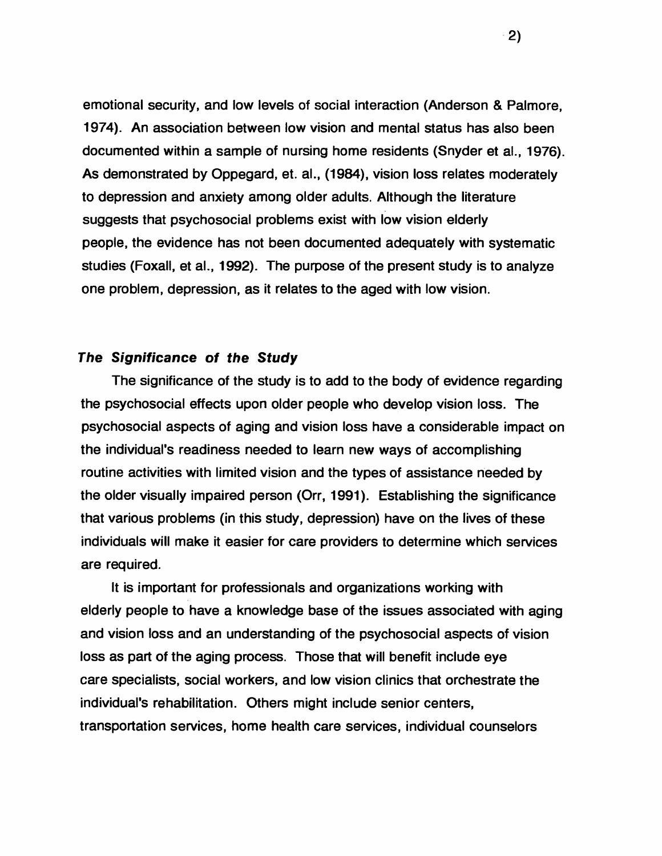emotional security, and low levels of social interaction (Anderson & Palmore, 1974). An association between low vision and mental status has also been documented within a sample of nursing home residents (Snyder et al., 1976). As demonstrated by Oppegard, et. al., (1984), vision loss relates moderately to depression and anxiety among older adults. Although the literature suggests that psychosocial problems exist with low vision elderly people, the evidence has not been documented adequately with systematic studies (Foxall, et al., 1992). The purpose of the present study is to analyze one problem, depression, as it relates to the aged with low vision.

#### *The Significance of the Study*

The significance of the study is to add to the body of evidence regarding the psychosocial effects upon older people who develop vision loss. The psychosocial aspects of aging and vision loss have a considerable impact on the individual's readiness needed to learn new ways of accomplishing routine activities with limited vision and the types of assistance needed by the older visually impaired person (Orr, 1991). Establishing the significance that various problems (in this study, depression) have on the lives of these individuals will make it easier for care providers to determine which services are required.

It is important for professionals and organizations working with elderly people to have a knowledge base of the issues associated with aging and vision loss and an understanding of the psychosocial aspects of vision loss as part of the aging process. Those that will benefit include eye care specialists, social workers, and low vision clinics that orchestrate the individual's rehabilitation. Others might include senior centers, transportation services, home health care services, individual counselors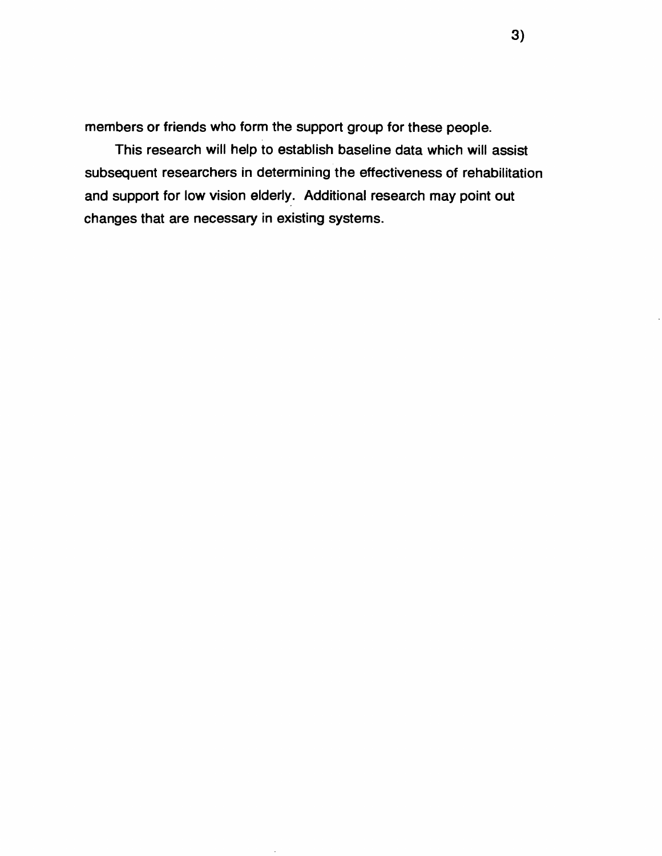members or friends who form the support group for these people.

This research will help to establish baseline data which will assist subsequent researchers in determining the effectiveness of rehabilitation and support for low vision elderly. Additional research may point out changes that are necessary in existing systems.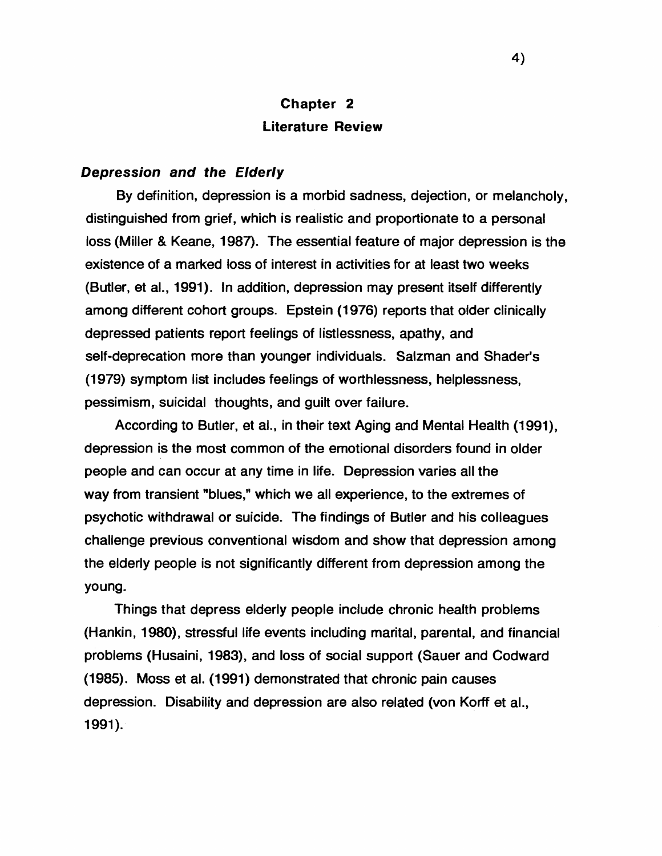## **Chapter 2 Literature Review**

#### *Depression and the Elderly*

By definition, depression is a morbid sadness, dejection, or melancholy, distinguished from grief, which is realistic and proportionate to a personal loss (Miller & Keane, 1987). The essential feature of major depression is the existence of a marked loss of interest in activities for at least two weeks (Butler, et al., 1991). In addition, depression may present itself differently among different cohort groups. Epstein (1976) reports that older clinically depressed patients report feelings of listlessness, apathy, and self-deprecation more than younger individuals. Salzman and Shader's (1979) symptom list includes feelings of worthlessness, helplessness, pessimism, suicidal thoughts, and guilt over failure.

According to Butler, et al., in their text Aging and Mental Health (1991), depression is the most common of the emotional disorders found in older people and can occur at any time in life. Depression varies all the way from transient "blues," which we all experience, to the extremes of psychotic withdrawal or suicide. The findings of Butler and his colleagues challenge previous conventional wisdom and show that depression among the elderly people is not significantly different from depression among the young.

Things that depress elderly people include chronic health problems (Hankin, 1980), stressful life events including marital, parental, and financial problems (Husaini, 1983), and loss of social support (Sauer and Codward (1985). Moss et al. (1991) demonstrated that chronic pain causes depression. Disability and depression are also related (von Korff et al., 1991).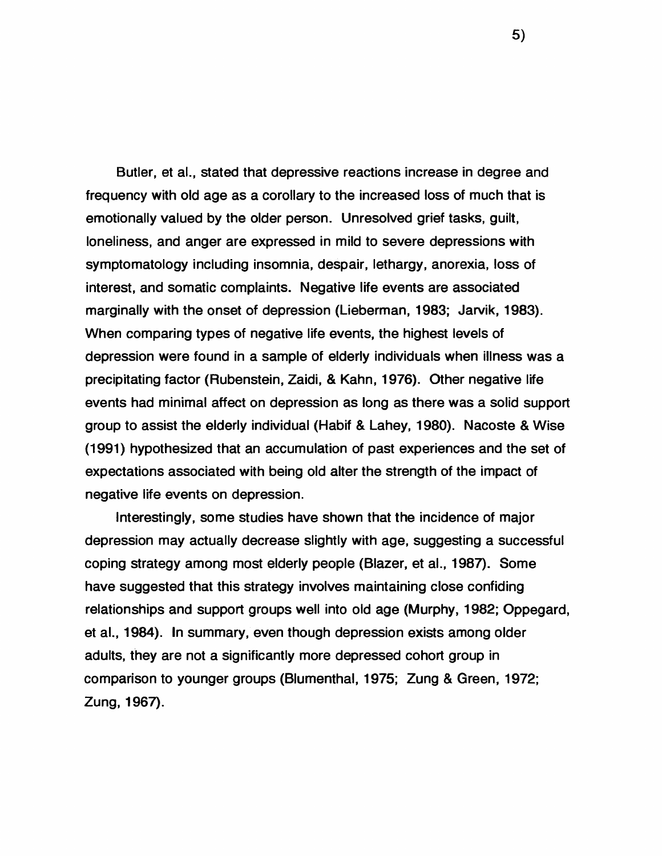Butler, et al., stated that depressive reactions increase in degree and frequency with old age as a corollary to the increased loss of much that is emotionally valued by the older person. Unresolved grief tasks, guilt, loneliness, and anger are expressed in mild to severe depressions with symptomatology including insomnia, despair, lethargy, anorexia, loss of interest, and somatic complaints. Negative life events are associated marginally with the onset of depression (Lieberman, 1983; Jarvik, 1983). When comparing types of negative life events, the highest levels of depression were found in a sample of elderly individuals when illness was a precipitating factor (Rubenstein, Zaidi, & Kahn, 1976). Other negative life events had minimal affect on depression as long as there was a solid support group to assist the elderly individual (Habif & Lahey, 1980). Nacoste & Wise (1991) hypothesized that an accumulation of past experiences and the set of expectations associated with being old alter the strength of the impact of negative life events on depression.

Interestingly, some studies have shown that the incidence of major depression may actually decrease slightly with age, suggesting a successful coping strategy among most elderly people (Blazer, et al., 1987). Some have suggested that this strategy involves maintaining close confiding relationships and support groups well into old age (Murphy, 1982; Oppegard, et al., 1984). In summary, even though depression exists among older adults, they are not a significantly more depressed cohort group in comparison to younger groups (Blumenthal, 1975; Zung & Green, 1972; Zung, 1967).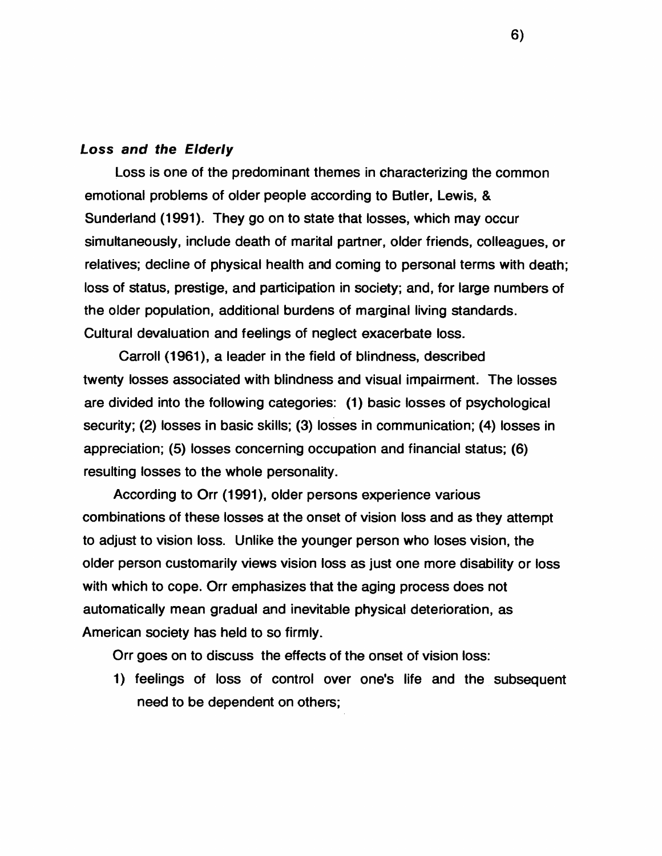#### *Loss and the Elderly*

Loss is one of the predominant themes in characterizing the common emotional problems of older people according to Butler, Lewis, & Sunderland (1991). They go on to state that losses, which may occur simultaneously, include death of marital partner, older friends, colleagues, or relatives; decline of physical health and coming to personal terms with death; loss of status, prestige, and participation in society; and, for large numbers of the older population, additional burdens of marginal living standards. Cultural devaluation and feelings of neglect exacerbate loss.

Carroll (1961), a leader in the field of blindness, described twenty losses associated with blindness and visual impairment. The losses are divided into the following categories: (1) basic losses of psychological security; (2) losses in basic skills; (3) losses in communication; (4) losses in appreciation; (5) losses concerning occupation and financial status; (6) resulting losses to the whole personality.

According to Orr (1991), older persons experience various combinations of these losses at the onset of vision loss and as they attempt to adjust to vision loss. Unlike the younger person who loses vision, the older person customarily views vision loss as just one more disability or loss with which to cope. Orr emphasizes that the aging process does not automatically mean gradual and inevitable physical deterioration, as American society has held to so firmly.

Orr goes on to discuss the effects of the onset of vision loss:

1) feelings of loss of control over one's life and the subsequent need to be dependent on others;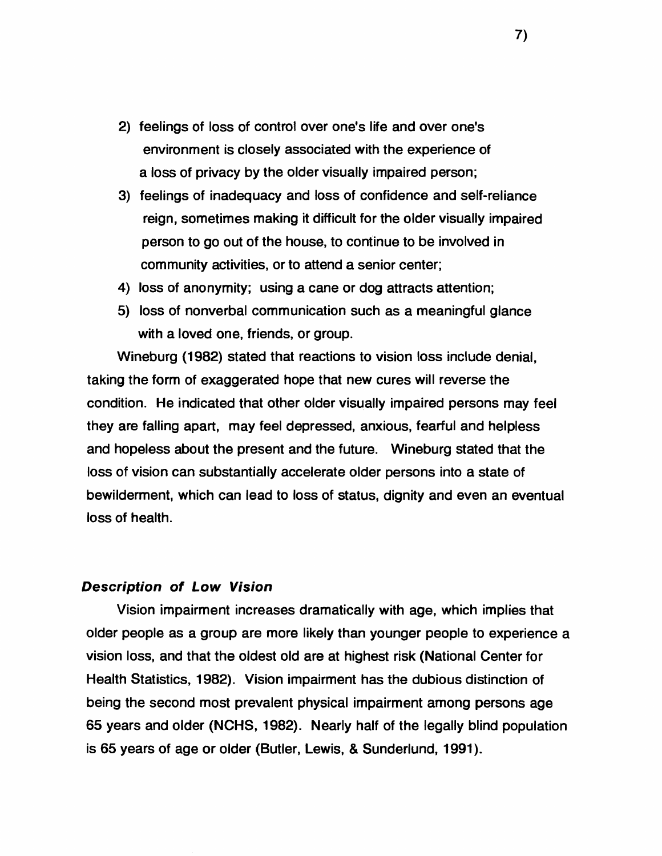- 2) feelings of loss of control over one's life and over one's environment is closely associated with the experience of a loss of privacy by the older visually impaired person;
- 3) feelings of inadequacy and loss of confidence and self-reliance reign, sometimes making it difficult for the older visually impaired person to go out of the house, to continue to be involved in community activities, or to attend a senior center;
- 4) loss of anonymity; using a cane or dog attracts attention;
- 5) loss of nonverbal communication such as a meaningful glance with a loved one, friends, or group.

Wineburg (1982) stated that reactions to vision loss include denial, taking the form of exaggerated hope that new cures will reverse the condition. He indicated that other older visually impaired persons may feel they are falling apart, may feel depressed, anxious, fearful and helpless and hopeless about the present and the future. Wineburg stated that the loss of vision can substantially accelerate older persons into a state of bewilderment, which can lead to loss of status, dignity and even an eventual loss of health.

#### *Description of Low Vision*

Vision impairment increases dramatically with age, which implies that older people as a group are more likely than younger people to experience a vision loss, and that the oldest old are at highest risk (National Center for Health Statistics, 1982). Vision impairment has the dubious distinction of being the second most prevalent physical impairment among persons age 65 years and older (NCHS, 1982). Nearly half of the legally blind population is 65 years of age or older (Butler, Lewis, & Sunderlund, 1991).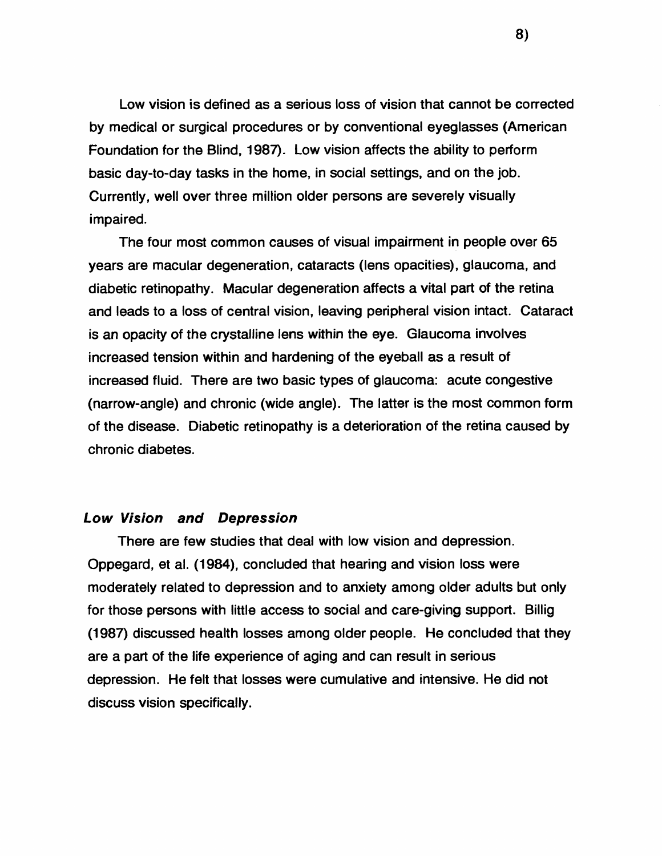Low vision is defined as a serious loss of vision that cannot be corrected by medical or surgical procedures or by conventional eyeglasses (American Foundation for the Blind, 1987). Low vision affects the ability to perform basic day-to-day tasks in the home, in social settings, and on the job. Currently, well over three million older persons are severely visually impaired.

The four most common causes of visual impairment in people over 65 years are macular degeneration, cataracts (lens opacities), glaucoma, and diabetic retinopathy. Macular degeneration affects a vital part of the retina and leads to a loss of central vision, leaving peripheral vision intact. Cataract is an opacity of the crystalline lens within the eye. Glaucoma involves increased tension within and hardening of the eyeball as a result of increased fluid. There are two basic types of glaucoma: acute congestive (narrow-angle) and chronic (wide angle). The latter is the most common form of the disease. Diabetic retinopathy is a deterioration of the retina caused by chronic diabetes.

#### *Low Vision and Depression*

There are few studies that deal with low vision and depression. Oppegard, et al. (1984), concluded that hearing and vision loss were moderately related to depression and to anxiety among older adults but only for those persons with little access to social and care-giving support. Billig (1987) discussed health losses among older people. He concluded that they are a part of the life experience of aging and can result in serious depression. He felt that losses were cumulative and intensive. He did not discuss vision specifically.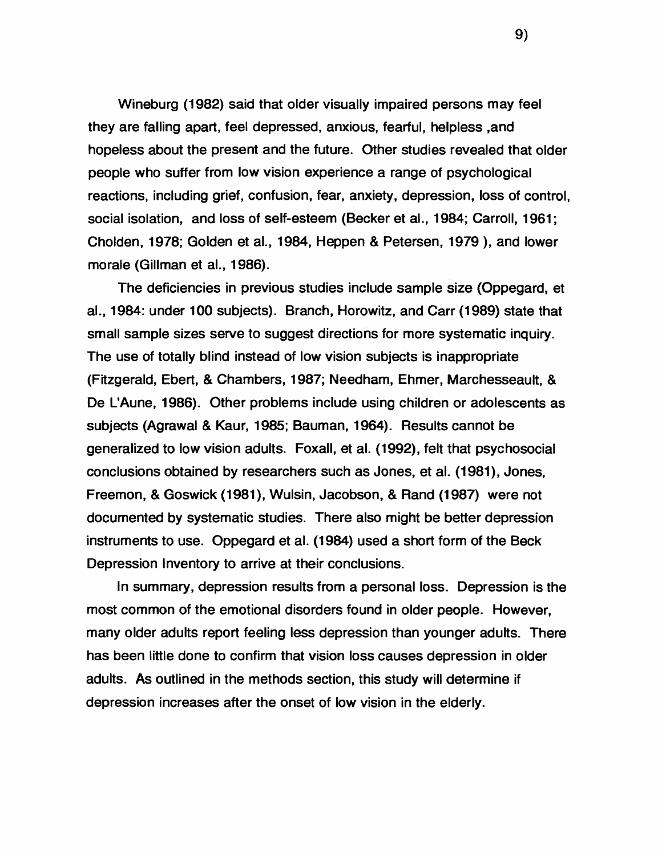Wineburg (1982) said that older visually impaired persons may feel they are falling apart, feel depressed, anxious, fearful, helpless ,and hopeless about the present and the future. Other studies revealed that older people who suffer from low vision experience a range of psychological reactions, including grief, confusion, fear, anxiety, depression, loss of control, social isolation, and loss of self-esteem (Becker et al., 1984; Carroll, 1961; Cholden, 1978; Golden et al., 1984, Heppen & Petersen, 1979), and lower morale (Gillman et al., 1986).

The deficiencies in previous studies include sample size (Oppegard, et al., 1984: under 100 subjects). Branch, Horowitz, and Carr (1989) state that small sample sizes serve to suggest directions for more systematic inquiry. The use of totally blind instead of low vision subjects is inappropriate (Fitzgerald, Ebert, & Chambers, 1987; Needham, Ehmer, Marchesseault, & De L'Aune, 1986). Other problems include using children or adolescents as subjects (Agrawal & Kaur, 1985; Bauman, 1964). Results cannot be generalized to low vision adults. Foxall, et al. (1992), felt that psychosocial conclusions obtained by researchers such as Jones, et al. (1981), Jones, Freemon, & Goswick (1981), Wulsin, Jacobson, & Rand (1987) were not documented by systematic studies. There also might be better depression instruments to use. Oppegard et al. (1984) used a short form of the Beck Depression Inventory to arrive at their conclusions.

In summary, depression results from a personal loss. Depression is the most common of the emotional disorders found in older people. However, many older adults report feeling less depression than younger adults. There has been little done to confirm that vision loss causes depression in older adults. As outlined in the methods section, this study will determine if depression increases after the onset of low vision in the elderly.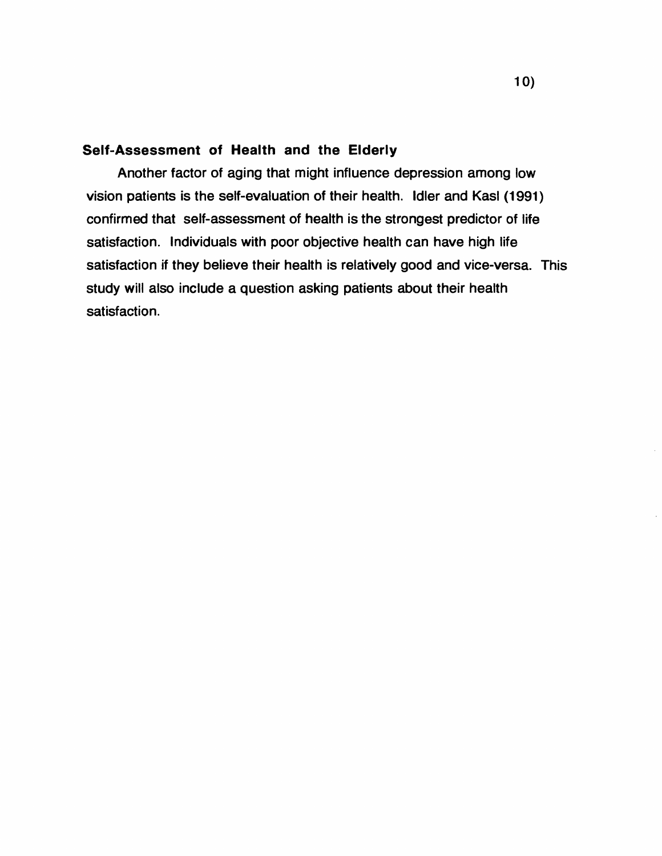### **Self-Assessment of Health and the Elderly**

Another factor of aging that might influence depression among low vision patients is the self-evaluation of their health. Idler and Kasl (1991) confirmed that self-assessment of health is the strongest predictor of life satisfaction. Individuals with poor objective health can have high life satisfaction if they believe their health is relatively good and vice-versa. This study will also include a question asking patients about their health satisfaction.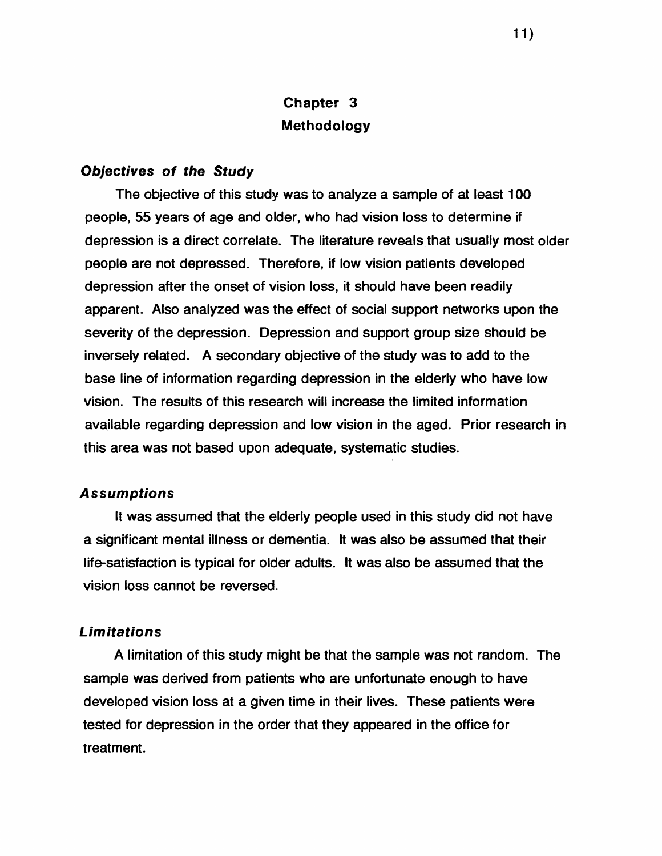## **Chapter 3 Methodology**

#### *Objectives of the Study*

The objective of this study was to analyze a sample of at least 100 people, 55 years of age and older, who had vision loss to determine if depression is a direct correlate. The literature reveals that usually most older people are not depressed. Therefore, if low vision patients developed depression after the onset of vision loss, it should have been readily apparent. Also analyzed was the effect of social support networks upon the severity of the depression. Depression and support group size should be inversely related. A secondary objective of the study was to add to the base line of information regarding depression in the elderly who have low vision. The results of this research will increase the limited information available regarding depression and low vision in the aged. Prior research in this area was not based upon adequate, systematic studies.

#### *Assumptions*

It was assumed that the elderly people used in this study did not have a significant mental illness or dementia. It was also be assumed that their life-satisfaction is typical for older adults. It was also be assumed that the vision loss cannot be reversed.

#### *Lim itations*

A limitation of this study might be that the sample was not random. The sample was derived from patients who are unfortunate enough to have developed vision loss at a given time in their lives. These patients were tested for depression in the order that they appeared in the office for treatment.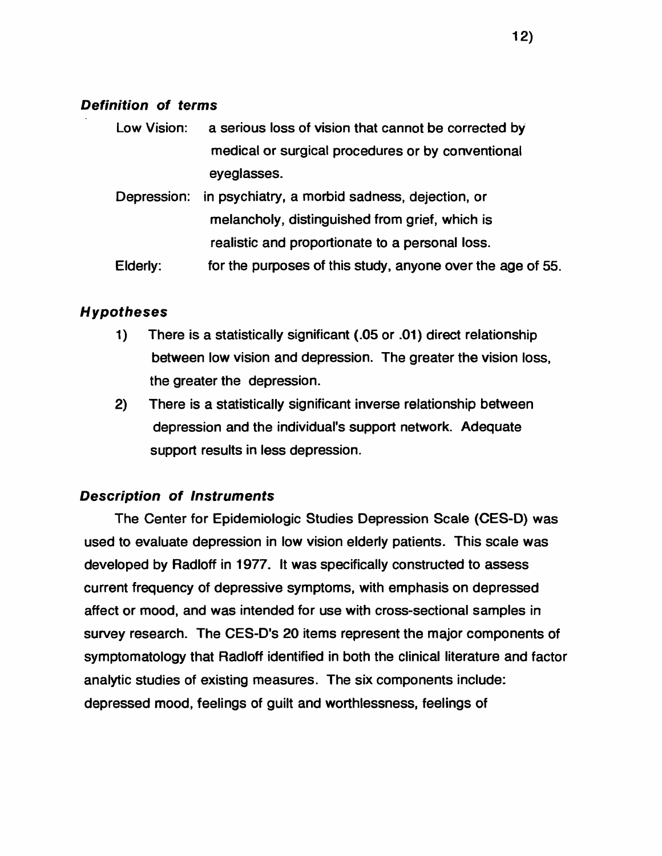### *Definition of terms*

| Low Vision: | a serious loss of vision that cannot be corrected by       |  |  |
|-------------|------------------------------------------------------------|--|--|
|             | medical or surgical procedures or by conventional          |  |  |
|             | eyeglasses.                                                |  |  |
|             | Depression: in psychiatry, a morbid sadness, dejection, or |  |  |
|             | melancholy, distinguished from grief, which is             |  |  |

realistic and proportionate to a personal loss.

Elderly: for the purposes of this study, anyone over the age of 55.

## *Hypotheses*

- 1) There is a statistically significant (.05 or .01) direct relationship between low vision and depression. The greater the vision loss, the greater the depression.
- 2) There is a statistically significant inverse relationship between depression and the individual's support network. Adequate support results in less depression.

## *Description of Instruments*

The Center for Epidemiologic Studies Depression Scale (CES-D) was used to evaluate depression in low vision elderly patients. This scale was developed by Radloff in 1977. It was specifically constructed to assess current frequency of depressive symptoms, with emphasis on depressed affect or mood, and was intended for use with cross-sectional samples in survey research. The CES-D's 20 items represent the major components of symptomatology that Radloff identified in both the clinical literature and factor analytic studies of existing measures. The six components include: depressed mood, feelings of guilt and worthlessness, feelings of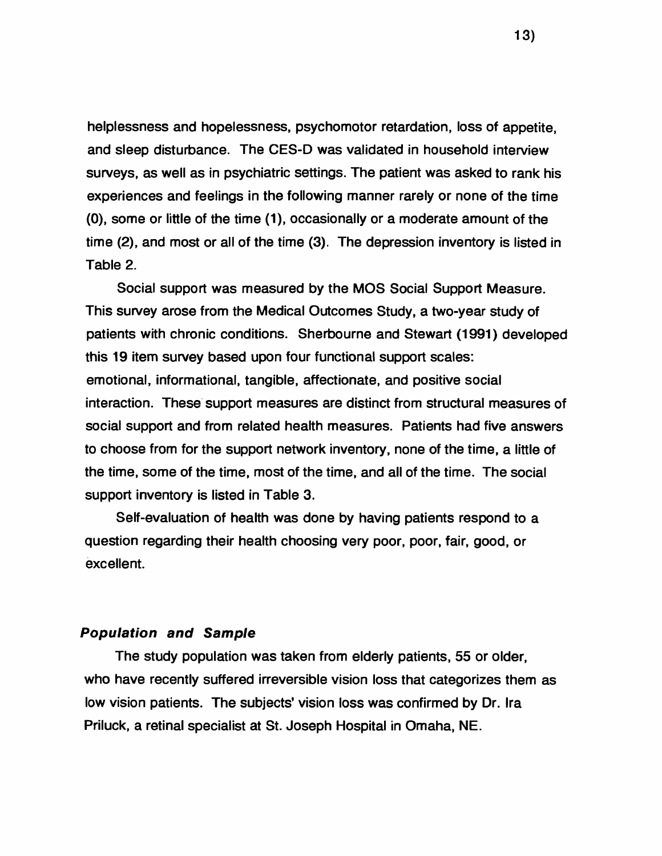helplessness and hopelessness, psychomotor retardation, loss of appetite, and sleep disturbance. The CES-D was validated in household interview surveys, as well as in psychiatric settings. The patient was asked to rank his experiences and feelings in the following manner rarely or none of the time (0), some or little of the time (1), occasionally or a moderate amount of the time (2), and most or all of the time (3). The depression inventory is listed in Table 2.

Social support was measured by the MOS Social Support Measure. This survey arose from the Medical Outcomes Study, a two-year study of patients with chronic conditions. Sherbourne and Stewart (1991) developed this 19 item survey based upon four functional support scales: emotional, informational, tangible, affectionate, and positive social interaction. These support measures are distinct from structural measures of social support and from related health measures. Patients had five answers to choose from for the support network inventory, none of the time, a little of the time, some of the time, most of the time, and all of the time. The social support inventory is listed in Table 3.

Self-evaluation of health was done by having patients respond to a question regarding their health choosing very poor, poor, fair, good, or excellent.

#### *Population and Sample*

The study population was taken from elderly patients, 55 or older, who have recently suffered irreversible vision loss that categorizes them as low vision patients. The subjects' vision loss was confirmed by Dr. Ira Priluck, a retinal specialist at St. Joseph Hospital in Omaha, NE.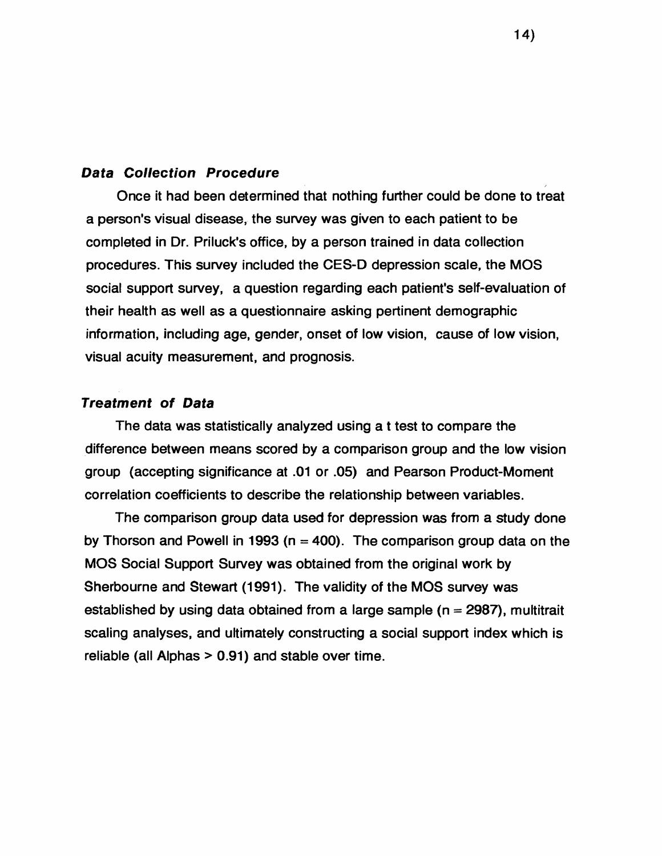#### *Data Collection Procedure*

Once it had been determined that nothing further could be done to treat a person's visual disease, the survey was given to each patient to be completed in Dr. Priluck's office, by a person trained in data collection procedures. This survey included the CES-D depression scale, the MOS social support survey, a question regarding each patient's self-evaluation of their health as well as a questionnaire asking pertinent demographic information, including age, gender, onset of low vision, cause of low vision, visual acuity measurement, and prognosis.

#### *Treatment of Data*

The data was statistically analyzed using a t test to compare the difference between means scored by a comparison group and the low vision group (accepting significance at .01 or .05) and Pearson Product-Moment correlation coefficients to describe the relationship between variables.

The comparison group data used for depression was from a study done by Thorson and Powell in 1993 ( $n = 400$ ). The comparison group data on the MOS Social Support Survey was obtained from the original work by Sherbourne and Stewart (1991). The validity of the MOS survey was established by using data obtained from a large sample ( $n = 2987$ ), multitrait scaling analyses, and ultimately constructing a social support index which is reliable (all Alphas > 0.91) and stable over time.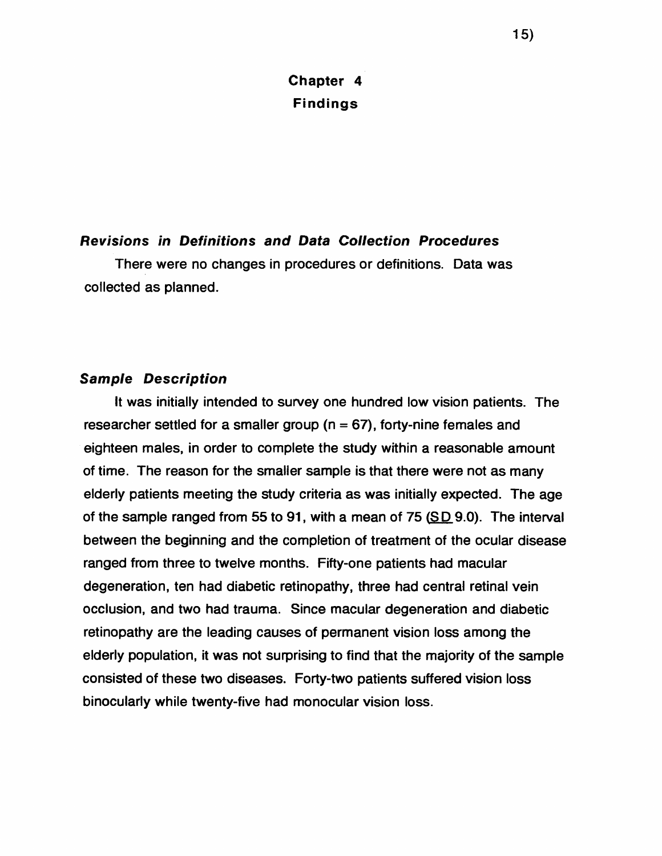# **Chapter 4 Findings**

### *Revisions in Definitions and Data Collection Procedures*

There were no changes in procedures or definitions. Data was collected as planned.

#### *Sample Description*

It was initially intended to survey one hundred low vision patients. The researcher settled for a smaller group ( $n = 67$ ), forty-nine females and eighteen males, in order to complete the study within a reasonable amount of time. The reason for the smaller sample is that there were not as many elderly patients meeting the study criteria as was initially expected. The age of the sample ranged from 55 to 91, with a mean of 75 (SD 9.0). The interval between the beginning and the completion of treatment of the ocular disease ranged from three to twelve months. Fifty-one patients had macular degeneration, ten had diabetic retinopathy, three had central retinal vein occlusion, and two had trauma. Since macular degeneration and diabetic retinopathy are the leading causes of permanent vision loss among the elderly population, it was not surprising to find that the majority of the sample consisted of these two diseases. Forty-two patients suffered vision loss binocularly while twenty-five had monocular vision loss.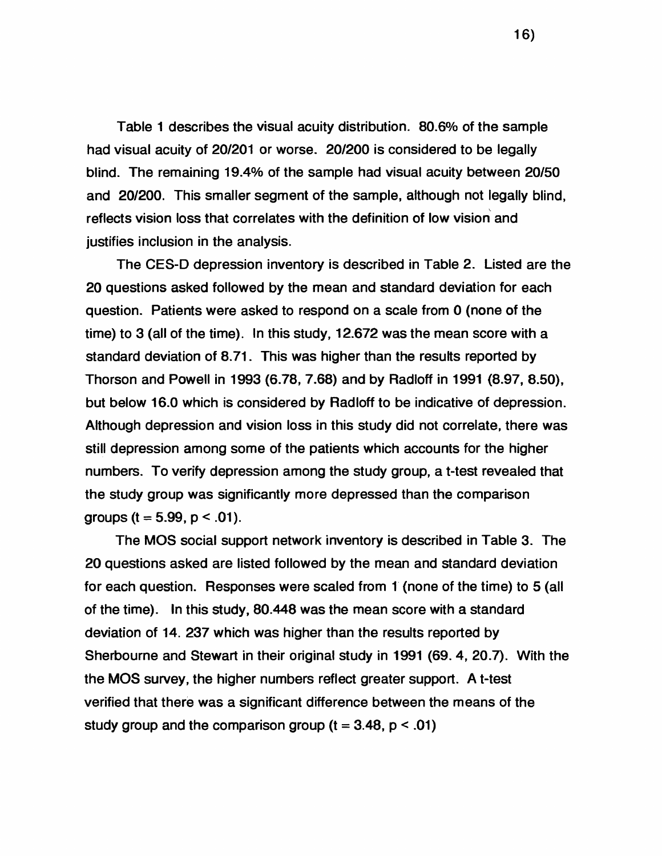Table **1** describes the visual acuity distribution. 80.6% of the sample had visual acuity of 20/201 or worse. **20/200** is considered to be legally blind. The remaining 19.4% of the sample had visual acuity between 20/50 and 20/200. This smaller segment of the sample, although not legally blind, reflects vision loss that correlates with the definition of low vision and justifies inclusion in the analysis.

The CES-D depression inventory is described in Table 2. Listed are the **2 0** questions asked followed by the mean and standard deviation for each question. Patients were asked to respond on a scale from **0** (none of the time) to 3 (all of the time). In this study, 12.672 was the mean score with a standard deviation of 8.71. This was higher than the results reported by Thorson and Powell in 1993 (6.78, 7.68) and by Radloff in 1991 (8.97, 8.50), but below 16.0 which is considered by Radloff to be indicative of depression. Although depression and vision loss in this study did not correlate, there was still depression among some of the patients which accounts for the higher numbers. To verify depression among the study group, a t-test revealed that the study group was significantly more depressed than the comparison groups ( $t = 5.99$ ,  $p < .01$ ).

The MOS social support network inventory is described in Table 3. The **2 0** questions asked are listed followed by the mean and standard deviation for each question. Responses were scaled from **1** (none of the time) to 5 (all of the time). In this study, 80.448 was the mean score with a standard deviation of 14. 237 which was higher than the results reported by Sherbourne and Stewart in their original study in 1991 (69. 4, 20.7). With the the MOS survey, the higher numbers reflect greater support. A t-test verified that there was a significant difference between the means of the study group and the comparison group ( $t = 3.48$ ,  $p < .01$ )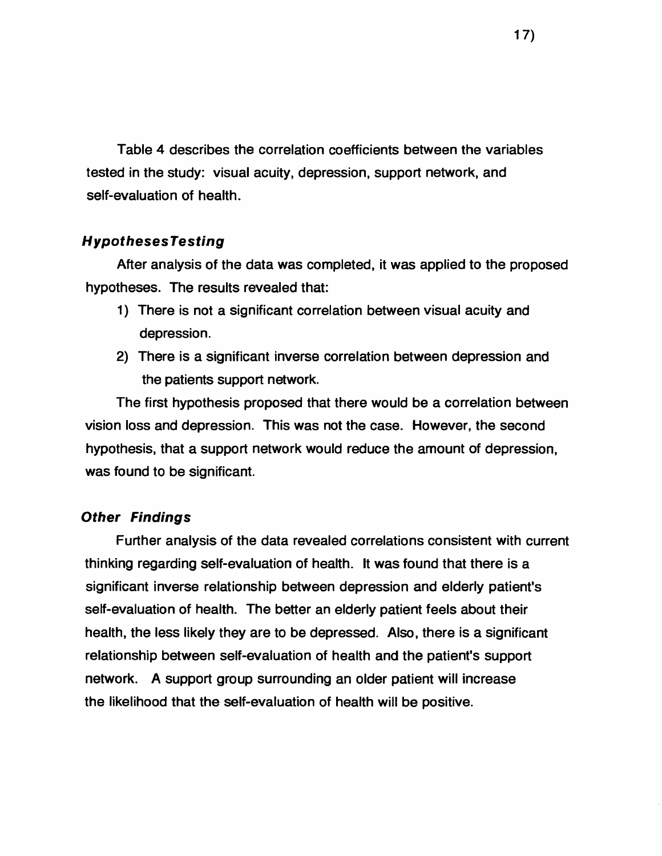Table 4 describes the correlation coefficients between the variables tested in the study: visual acuity, depression, support network, and self-evaluation of health.

### *HypothesesTesting*

After analysis of the data was completed, it was applied to the proposed hypotheses. The results revealed that:

- **1**) There is not a significant correlation between visual acuity and depression.
- 2) There is a significant inverse correlation between depression and the patients support network.

The first hypothesis proposed that there would be a correlation between vision loss and depression. This was not the case. However, the second hypothesis, that a support network would reduce the amount of depression, was found to be significant.

#### *Other Findings*

Further analysis of the data revealed correlations consistent with current thinking regarding self-evaluation of health. It was found that there is a significant inverse relationship between depression and elderly patient's self-evaluation of health. The better an elderly patient feels about their health, the less likely they are to be depressed. Also, there is a significant relationship between self-evaluation of health and the patient's support network. A support group surrounding an older patient will increase the likelihood that the self-evaluation of health will be positive.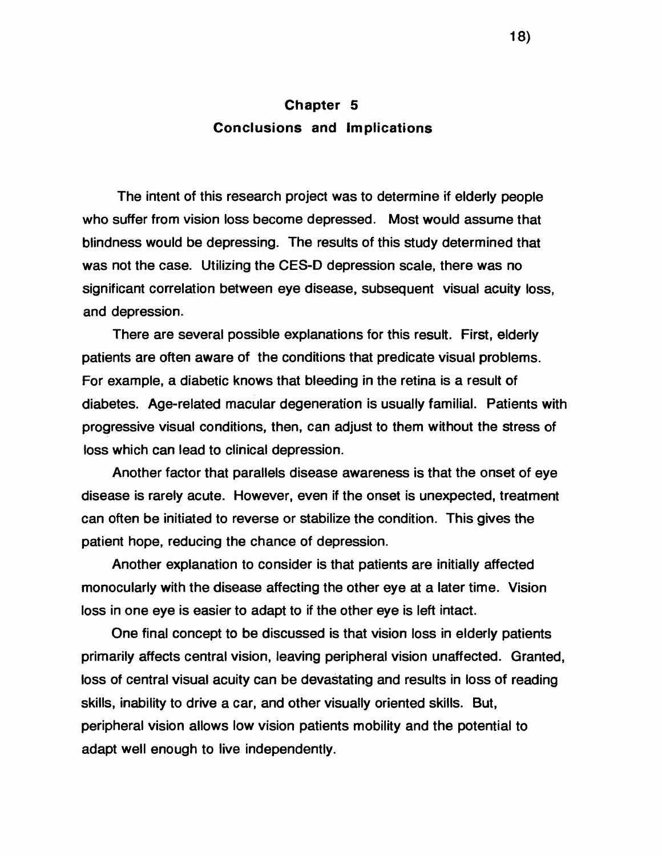## **Chapter 5 Conclusions and Implications**

The intent of this research project was to determine if elderly people who suffer from vision loss become depressed. Most would assume that blindness would be depressing. The results of this study determined that was not the case. Utilizing the CES-D depression scale, there was no significant correlation between eye disease, subsequent visual acuity loss, and depression.

There are several possible explanations for this result. First, elderly patients are often aware of the conditions that predicate visual problems. For example, a diabetic knows that bleeding in the retina is a result of diabetes. Age-related macular degeneration is usually familial. Patients with progressive visual conditions, then, can adjust to them without the stress of loss which can lead to clinical depression.

Another factor that parallels disease awareness is that the onset of eye disease is rarely acute. However, even if the onset is unexpected, treatment can often be initiated to reverse or stabilize the condition. This gives the patient hope, reducing the chance of depression.

Another explanation to consider is that patients are initially affected monocularly with the disease affecting the other eye at a later time. Vision loss in one eye is easier to adapt to if the other eye is left intact.

One final concept to be discussed is that vision loss in elderly patients primarily affects central vision, leaving peripheral vision unaffected. Granted, loss of central visual acuity can be devastating and results in loss of reading skills, inability to drive a car, and other visually oriented skills. But, peripheral vision allows low vision patients mobility and the potential to adapt well enough to live independently.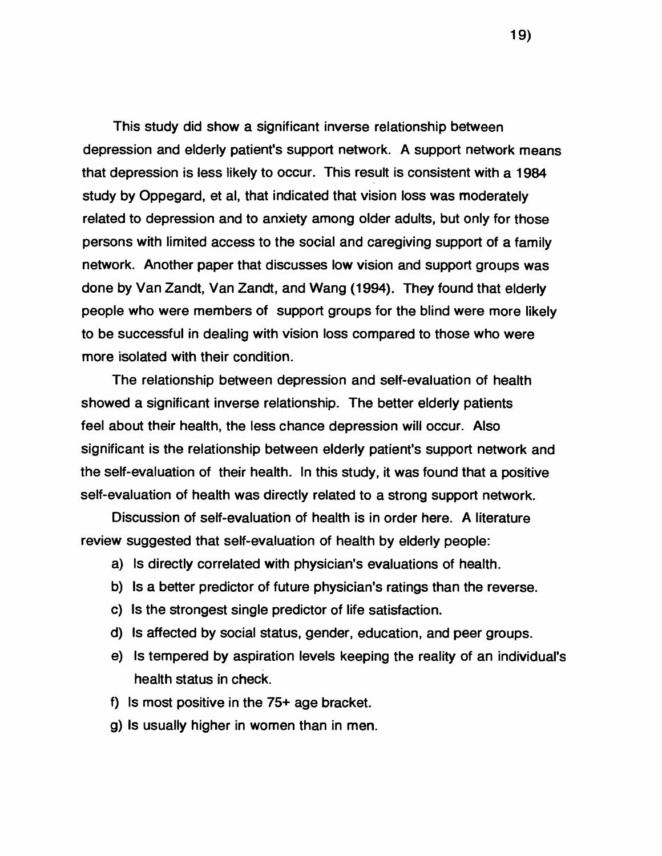This study did show a significant inverse relationship between depression and elderly patient's support network. A support network means that depression is less likely to occur. This result is consistent with a 1984 study by Oppegard, et al, that indicated that vision loss was moderately related to depression and to anxiety among older adults, but only for those persons with limited access to the social and caregiving support of a family network. Another paper that discusses low vision and support groups was done by Van Zandt, Van Zandt, and Wang (1994). They found that elderly people who were members of support groups for the blind were more likely to be successful in dealing with vision loss compared to those who were more isolated with their condition.

The relationship between depression and self-evaluation of health showed a significant inverse relationship. The better elderly patients feel about their health, the less chance depression will occur. Also significant is the relationship between elderly patient's support network and the self-evaluation of their health. In this study, it was found that a positive self-evaluation of health was directly related to a strong support network.

Discussion of self-evaluation of health is in order here. A literature review suggested that self-evaluation of health by elderly people:

- a) Is directly correlated with physician's evaluations of health.
- b) Is a better predictor of future physician's ratings than the reverse.
- c) Is the strongest single predictor of life satisfaction.
- d) Is affected by social status, gender, education, and peer groups.
- e) Is tempered by aspiration levels keeping the reality of an individual's health status in check.
- f) Is most positive in the 75+ age bracket.
- g) Is usually higher in women than in men.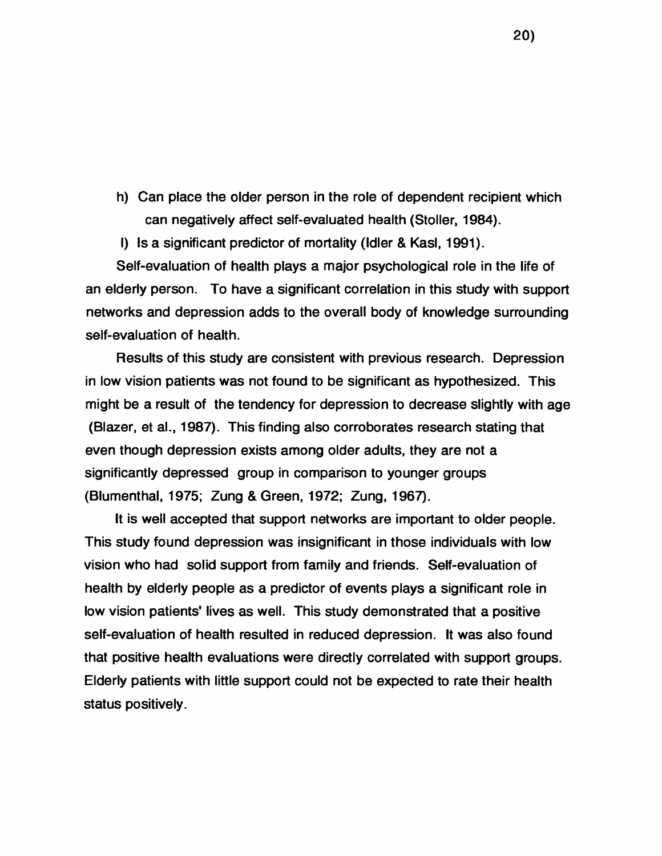h) Can place the older person in the role of dependent recipient which can negatively affect self-evaluated health (Stoller, 1984).

I) Is a significant predictor of mortality (Idler & Kasl, 1991).

Self-evaluation of health plays a major psychological role in the life of an elderly person. To have a significant correlation in this study with support networks and depression adds to the overall body of knowledge surrounding self-evaluation of health.

Results of this study are consistent with previous research. Depression in low vision patients was not found to be significant as hypothesized. This might be a result of the tendency for depression to decrease slightly with age (Blazer, et al., 1987). This finding also corroborates research stating that even though depression exists among older adults, they are not a significantly depressed group in comparison to younger groups (Blumenthal, 1975; Zung & Green, 1972; Zung, 1967).

It is well accepted that support networks are important to older people. This study found depression was insignificant in those individuals with low vision who had solid support from family and friends. Self-evaluation of health by elderly people as a predictor of events plays a significant role in low vision patients' lives as well. This study demonstrated that a positive self-evaluation of health resulted in reduced depression. It was also found that positive health evaluations were directly correlated with support groups. Elderly patients with little support could not be expected to rate their health status positively.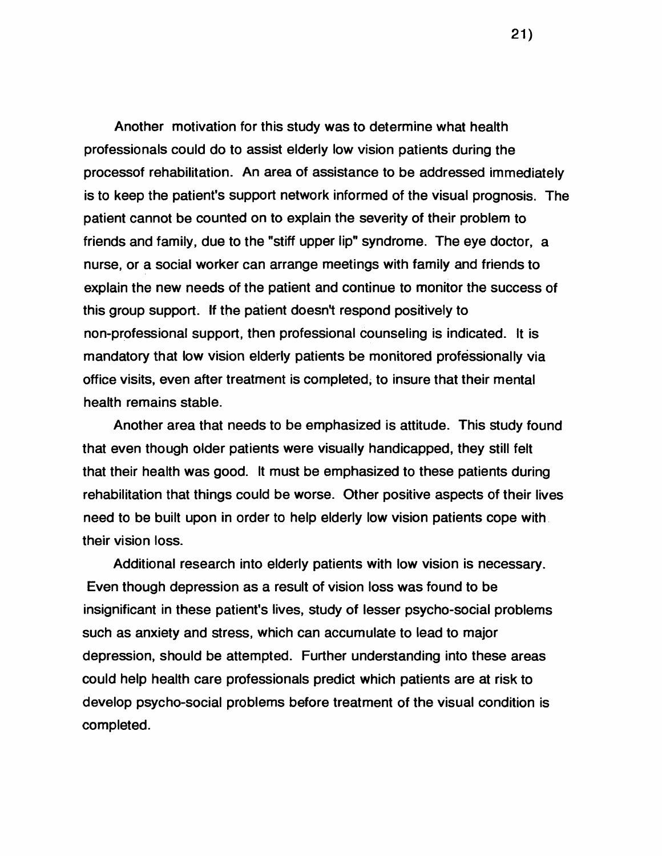Another motivation for this study was to determine what health professionals could do to assist elderly low vision patients during the processof rehabilitation. An area of assistance to be addressed immediately is to keep the patient's support network informed of the visual prognosis. The patient cannot be counted on to explain the severity of their problem to friends and family, due to the "stiff upper lip" syndrome. The eye doctor, a nurse, or a social worker can arrange meetings with family and friends to explain the new needs of the patient and continue to monitor the success of this group support. If the patient doesn't respond positively to non-professional support, then professional counseling is indicated. It is mandatory that low vision elderly patients be monitored professionally via office visits, even after treatment is completed, to insure that their mental health remains stable.

Another area that needs to be emphasized is attitude. This study found that even though older patients were visually handicapped, they still felt that their health was good. It must be emphasized to these patients during rehabilitation that things could be worse. Other positive aspects of their lives need to be built upon in order to help elderly low vision patients cope with their vision loss.

Additional research into elderly patients with low vision is necessary. Even though depression as a result of vision loss was found to be insignificant in these patient's lives, study of lesser psycho-social problems such as anxiety and stress, which can accumulate to lead to major depression, should be attempted. Further understanding into these areas could help health care professionals predict which patients are at risk to develop psycho-social problems before treatment of the visual condition is completed.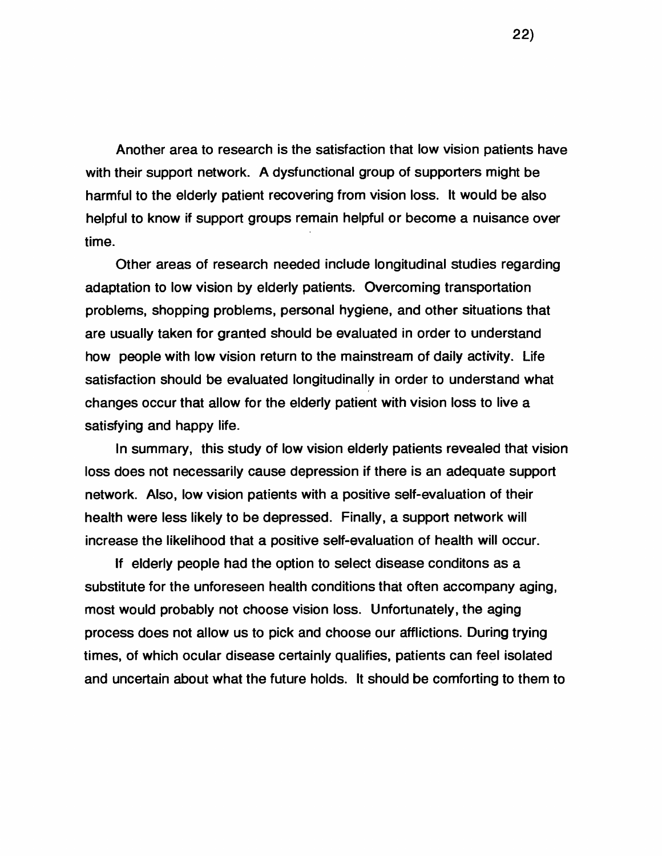Another area to research is the satisfaction that low vision patients have with their support network. A dysfunctional group of supporters might be harmful to the elderly patient recovering from vision loss. It would be also helpful to know if support groups remain helpful or become a nuisance over time.

Other areas of research needed include longitudinal studies regarding adaptation to low vision by elderly patients. Overcoming transportation problems, shopping problems, personal hygiene, and other situations that are usually taken for granted should be evaluated in order to understand how people with low vision return to the mainstream of daily activity. Life satisfaction should be evaluated longitudinally in order to understand what changes occur that allow for the elderly patient with vision loss to live a satisfying and happy life.

In summary, this study of low vision elderly patients revealed that vision loss does not necessarily cause depression if there is an adequate support network. Also, low vision patients with a positive self-evaluation of their health were less likely to be depressed. Finally, a support network will increase the likelihood that a positive self-evaluation of health will occur.

If elderly people had the option to select disease conditons as a substitute for the unforeseen health conditions that often accompany aging, most would probably not choose vision loss. Unfortunately, the aging process does not allow us to pick and choose our afflictions. During trying times, of which ocular disease certainly qualifies, patients can feel isolated and uncertain about what the future holds. It should be comforting to them to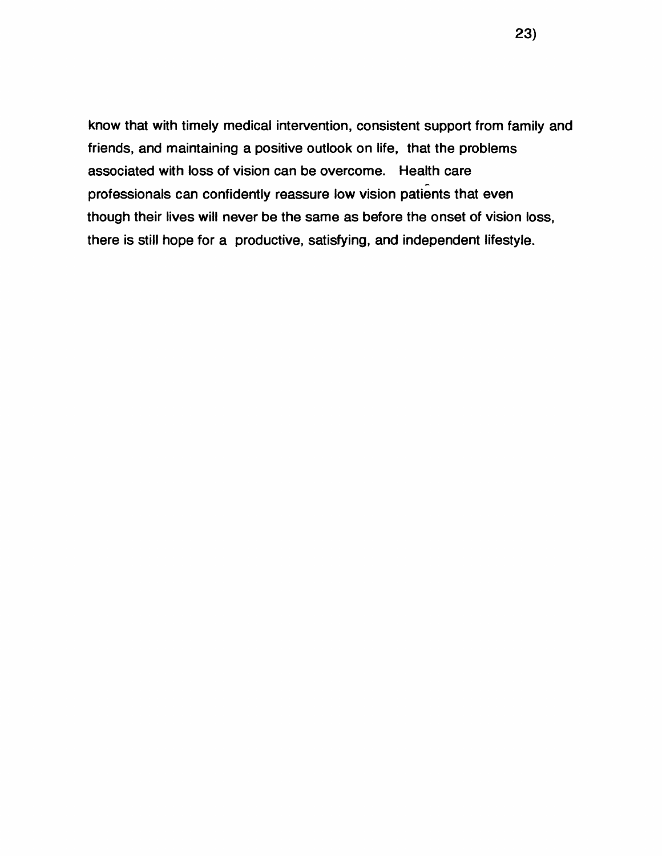know that with timely medical intervention, consistent support from family and friends, and maintaining a positive outlook on life, that the problems associated with loss of vision can be overcome. Health care professionals can confidently reassure low vision patients that even though their lives will never be the same as before the onset of vision loss, there is still hope for a productive, satisfying, and independent lifestyle.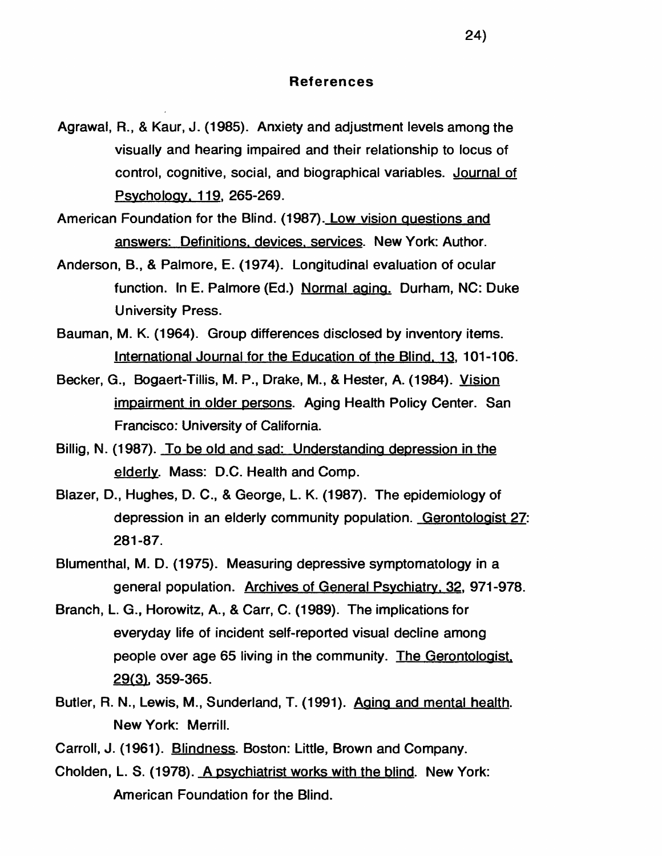#### **References**

- Agrawal, R., & Kaur, J. (1985). Anxiety and adjustment levels among the visually and hearing impaired and their relationship to locus of control, cognitive, social, and biographical variables. Journal of Psvcholoav. 119. 265-269.
- American Foundation for the Blind. (1987). Low vision questions and answers: Definitions, devices, services. New York: Author.
- Anderson, B., & Palmore, E. (1974). Longitudinal evaluation of ocular function. In E. Palmore (Ed.) Normal aging. Durham, NC: Duke University Press.
- Bauman, M. K. (1964). Group differences disclosed by inventory items. International Journal for the Education of the Blind. 13. 101-106.
- Becker, G., Bogaert-Tillis, M. P., Drake, M., & Hester, A. (1984). Vision impairment in older persons. Aging Health Policy Center. San Francisco: University of California.
- Billig, N. (1987). To be old and sad: Understanding depression in the elderly. Mass: D.C. Health and Comp.
- Blazer, D., Hughes, D. C., & George, L. K. (1987). The epidemiology of depression in an elderly community population. Gerontologist 27: 281-87.
- Blumenthal, M. D. (1975). Measuring depressive symptomatology in a general population. Archives of General Psychiatry. 32. 971-978.
- Branch, L. G., Horowitz, A., & Carr, C. (1989). The implications for everyday life of incident self-reported visual decline among people over age 65 living in the community. The Gerontologist. 29(31. 359-365.
- Butler, R. N., Lewis, M., Sunderland, T. (1991). Aging and mental health. New York: Merrill.
- Carroll, J. (1961). Blindness. Boston: Little, Brown and Company.
- Cholden, L. S. (1978). A psychiatrist works with the blind. New York: American Foundation for the Blind.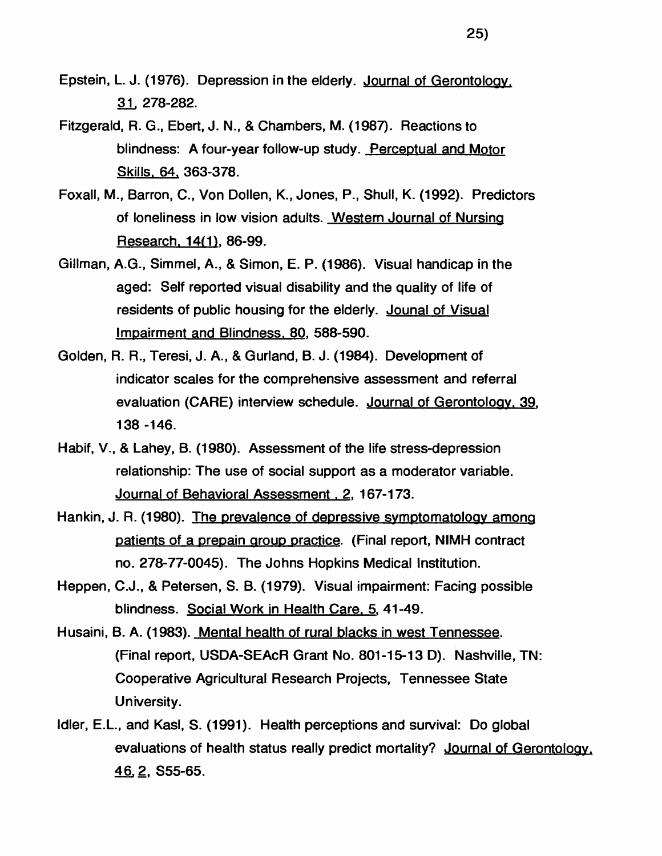- Epstein, L. J. (1976). Depression in the elderly. Journal of Gerontology. 3JL 278-282.
- Fitzgerald, R. G., Ebert, J. N., & Chambers, M. (1987). Reactions to blindness: A four-year follow-up study. Perceptual and Motor Skills. 64. 363-378.
- Foxall, M., Barron, C., Von Dollen, K., Jones, P., Shull, K. (1992). Predictors of loneliness in low vision adults. Western Journal of Nursing Research. 14(1). 86-99.
- Gillman, A.G., Simmel, A., & Simon, E. P. (1986). Visual handicap in the aged: Self reported visual disability and the quality of life of residents of public housing for the elderly. Jounal of Visual Impairment and Blindness. 80. 588-590.
- Golden, R. R., Teresi, J. A., & Gurland, B. J. (1984). Development of indicator scales for the comprehensive assessment and referral evaluation (CARE) interview schedule. Journal of Gerontology. 39. 138 -146.
- Habif, V., & Lahey, B. (1980). Assessment of the life stress-depression relationship: The use of social support as a moderator variable. Journal of Behavioral Assessment, 2, 167-173.
- Hankin, J. R. (1980). The prevalence of depressive symptomatology among patients of a prepain group practice. (Final report, NIMH contract no. 278-77-0045). The Johns Hopkins Medical Institution.
- Heppen, C.J., & Petersen, S. B. (1979). Visual impairment: Facing possible blindness. Social Work in Health Care. 5. 41-49.
- Husaini, B. A. (1983). Mental health of rural blacks in west Tennessee. (Final report, USDA-SEAcR Grant No. 801-15-13 D). Nashville, TN: Cooperative Agricultural Research Projects, Tennessee State University.
- Idler, E.L., and Kasl, S. (1991). Health perceptions and survival: Do global evaluations of health status really predict mortality? Journal of Gerontology. <u>46, 2,</u> S55-65.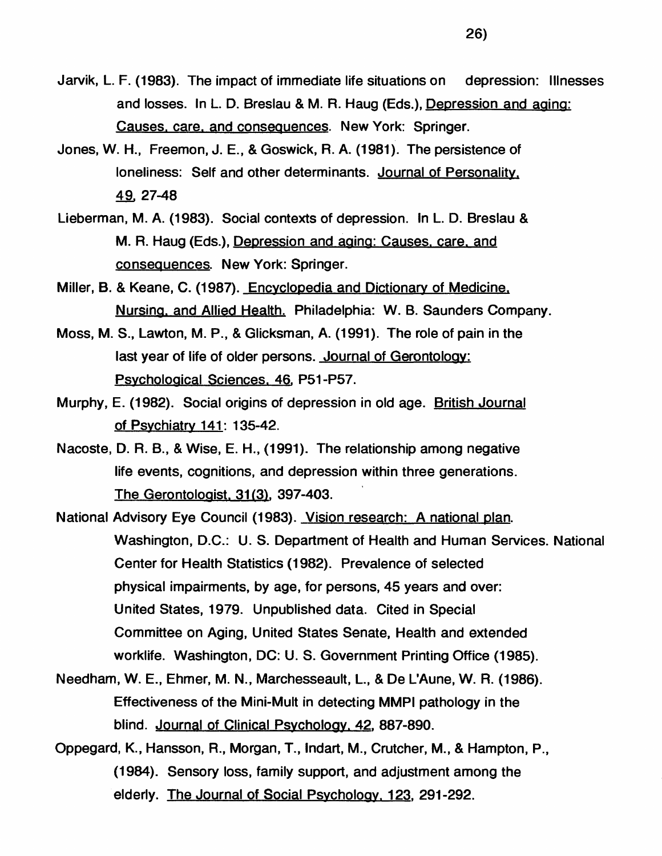- Jarvik, L. F. (1983). The impact of immediate life situations on depression: Illnesses and losses. In L. D. Breslau & M. R. Haug (Eds.), Depression and aging: Causes, care, and consequences. New York: Springer.
- Jones, W. H., Freemon, J. E., & Goswick, R. A. (1981). The persistence of loneliness: Self and other determinants. Journal of Personality. 49, 27-48
- Lieberman, M. A. (1983). Social contexts of depression. In L. D. Breslau & M. R. Haug (Eds.), Depression and aging: Causes, care, and consequences. New York: Springer.
- Miller, B. & Keane, C. (1987). Encyclopedia and Dictionary of Medicine. Nursino. and Allied Health. Philadelphia: W. B. Saunders Company.
- Moss, M. S., Lawton, M. P., & Glicksman, A. (1991). The role of pain in the last year of life of older persons. Journal of Gerontology: Psychological Sciences. 46. P51-P57.
- Murphy, E. (1982). Social origins of depression in old age. British Journal of Psychiatry 141: 135-42.
- Nacoste, D. R. B., & Wise, E. H., (1991). The relationship among negative life events, cognitions, and depression within three generations. The Gerontologist. 31 (3). 397-403.
- National Advisory Eye Council (1983). Vision research: A national plan. Washington, D.C.: U. S. Department of Health and Human Services. National Center for Health Statistics (1982). Prevalence of selected physical impairments, by age, for persons, 45 years and over: United States, 1979. Unpublished data. Cited in Special Committee on Aging, United States Senate, Health and extended worklife. Washington, DC: U. S. Government Printing Office (1985).
- Needham, W. E., Ehmer, M. N., Marchesseault, L., & De L'Aune, W. R. (1986). Effectiveness of the Mini-Mult in detecting MMPI pathology in the blind. Journal of Clinical Psychology. 42. 887-890.
- Oppegard, K., Hansson, R., Morgan, T., Indart, M., Crutcher, M., & Hampton, P., (1984). Sensory loss, family support, and adjustment among the elderly. The Journal of Social Psychology. 123. 291-292.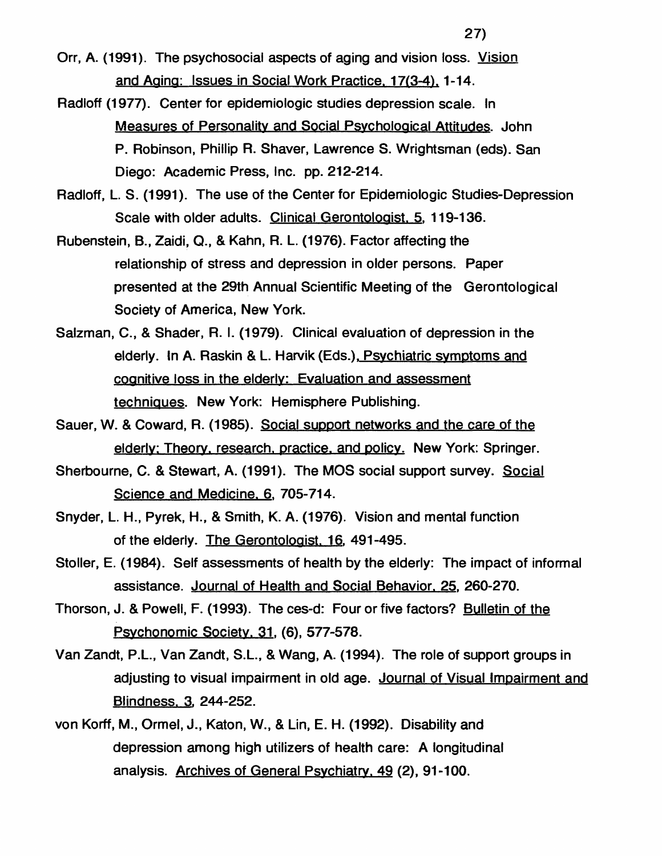Orr, A. (1991). The psychosocial aspects of aging and vision loss. Vision and Aaina: Issues in Social Work Practice. 17(3-4). 1-14.

- Radloff (1977). Center for epidemiologic studies depression scale. In Measures of Personality and Social Psychological Attitudes. John P. Robinson, Phillip R. Shaver, Lawrence S. Wrightsman (eds). San Diego: Academic Press, Inc. pp. 212-214.
- Radloff, L. S. (1991). The use of the Center for Epidemiologic Studies-Depression Scale with older adults. Clinical Gerontologist. 5. 119-136.
- Rubenstein, B., Zaidi, Q., & Kahn, R. L. (1976). Factor affecting the relationship of stress and depression in older persons. Paper presented at the 29th Annual Scientific Meeting of the Gerontological Society of America, New York.
- Salzman, C., & Shader, R. I. (1979). Clinical evaluation of depression in the elderly. In A. Raskin & L. Harvik (Eds.), Psychiatric symptoms and cognitive loss in the elderly: Evaluation and assessment techniques. New York: Hemisphere Publishing.
- Sauer, W. & Coward, R. (1985). Social support networks and the care of the elderly: Theory, research, practice, and policy. New York: Springer.
- Sherbourne, C. & Stewart, A. (1991). The MOS social support survey. Social Science and Medicine. **6** . 705-714.
- Snyder, L. H., Pyrek, H., & Smith, K. A. (1976). Vision and mental function of the elderly. The Gerontologist. 16. 491-495.
- Stoller, E. (1984). Self assessments of health by the elderly: The impact of informal assistance. Journal of Health and Social Behavior. 25. 260-270.
- Thorson, J. & Powell, F. (1993). The ces-d: Four or five factors? Bulletin of the Psvchonomic Society. 31. (**6** ), 577-578.
- Van Zandt, P.L., Van Zandt, S.L., & Wang, A. (1994). The role of support groups in adjusting to visual impairment in old age. Journal of Visual Impairment and Blindness. 3. 244-252.
- von Korff, M., Ormel, J., Katon, W., & Lin, E. H. (1992). Disability and depression among high utilizers of health care: A longitudinal analysis. Archives of General Psychiatry. 49 (2), 91-100.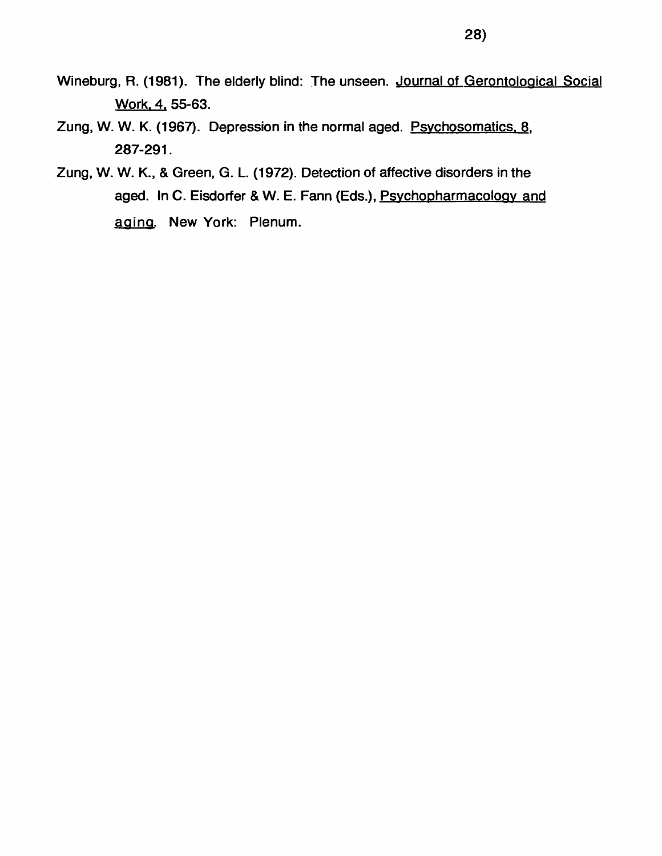- Wineburg, R. (1981). The elderly blind: The unseen. Journal of Gerontological Social Work. 4. 55-63.
- Zung, W. W. K. (1967). Depression in the normal aged. Psvchosomatics. **8** . 287-291.
- Zung, W. W. K., & Green, G. L. (1972). Detection of affective disorders in the aged. In C. Eisdorfer & W. E. Fann (Eds.), Psvchopharmacoloov and aging. New York: Plenum.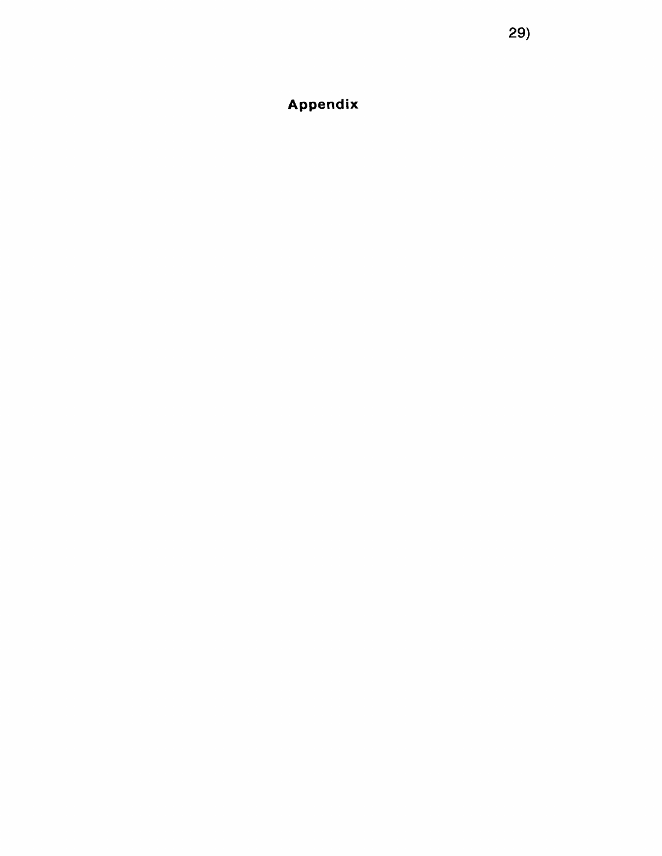**Appendix**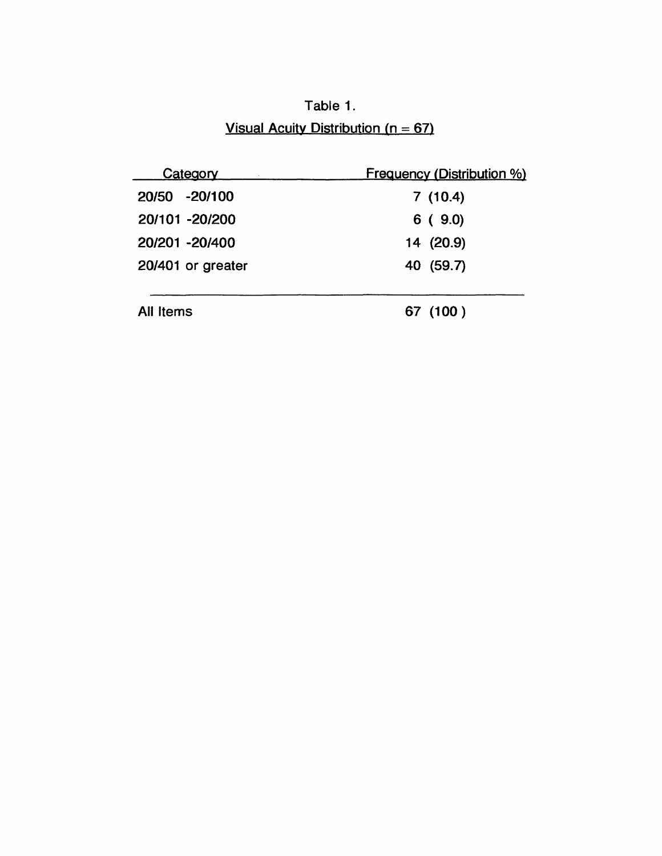Table 1. Visual Acuity Distribution ( $n = 67$ )

| Category          | <b>Frequency (Distribution %)</b> |
|-------------------|-----------------------------------|
| 20/50 -20/100     | 7(10.4)                           |
| 20/101 -20/200    | 6(9.0)                            |
| 20/201 -20/400    | 14 (20.9)                         |
| 20/401 or greater | 40 (59.7)                         |
|                   |                                   |
| All Items         | 67 (100)                          |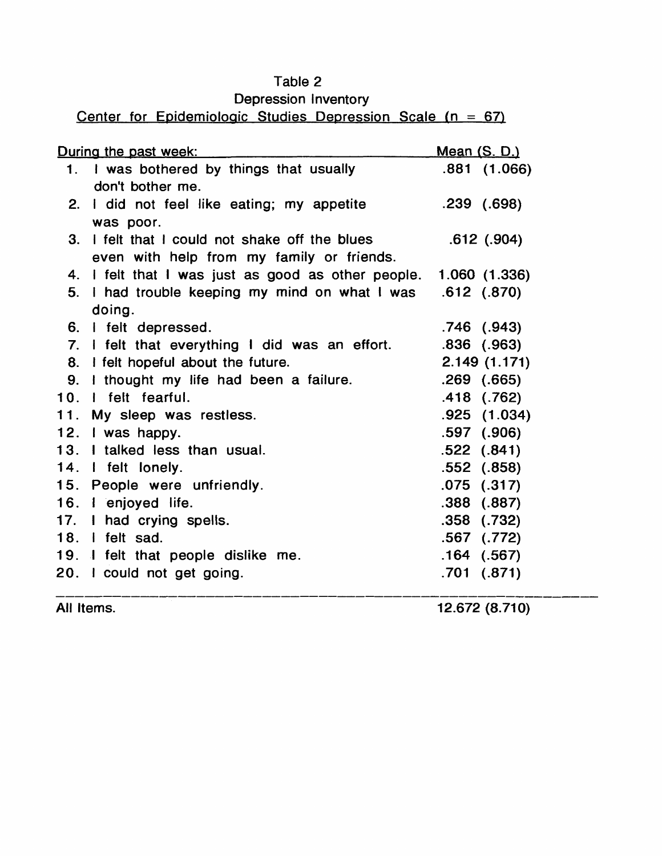## Table **2**

# Depression Inventory

# Center for Epidemiologic Studies Depression Scale (n = *67)*

|     | During the past week:                                         | <u>Mean (S. D.)</u> |
|-----|---------------------------------------------------------------|---------------------|
| 1.  | I was bothered by things that usually                         | .881(1.066)         |
|     | don't bother me.                                              |                     |
| 2.  | I did not feel like eating; my appetite                       | .239(.698)          |
|     | was poor.                                                     |                     |
| 3.  | I felt that I could not shake off the blues                   | $.612$ $(.904)$     |
|     | even with help from my family or friends.                     |                     |
| 4.  | I felt that I was just as good as other people. 1.060 (1.336) |                     |
| 5.  | I had trouble keeping my mind on what I was                   | $.612$ $(.870)$     |
|     | doing.                                                        |                     |
|     | 6. I felt depressed.                                          | $.746$ $(.943)$     |
|     | 7. I felt that everything I did was an effort.                | $.836$ $(.963)$     |
|     | 8. I felt hopeful about the future.                           | 2.149(1.171)        |
|     | 9. I thought my life had been a failure.                      | $.269$ $(.665)$     |
|     | 10. I felt fearful.                                           | $.418$ $(.762)$     |
|     | 11. My sleep was restless.                                    | .925(1.034)         |
|     | 12. I was happy.                                              | $.597$ $(.906)$     |
|     | 13. I talked less than usual.                                 | $.522$ $(.841)$     |
|     | 14. I felt lonely.                                            | $.552$ $(.858)$     |
| 15. | People were unfriendly.                                       | $.075$ $(.317)$     |
|     | 16. I enjoyed life.                                           | $.388$ $(.887)$     |
|     | 17. I had crying spells.                                      | $.358$ $(.732)$     |
|     | 18. I felt sad.                                               | $.567$ $(.772)$     |
|     | 19. I felt that people dislike me.                            | $.164$ $(.567)$     |
|     | 20. I could not get going.                                    | $.701$ $(.871)$     |
|     |                                                               |                     |

All Items. 12.672 (8.710)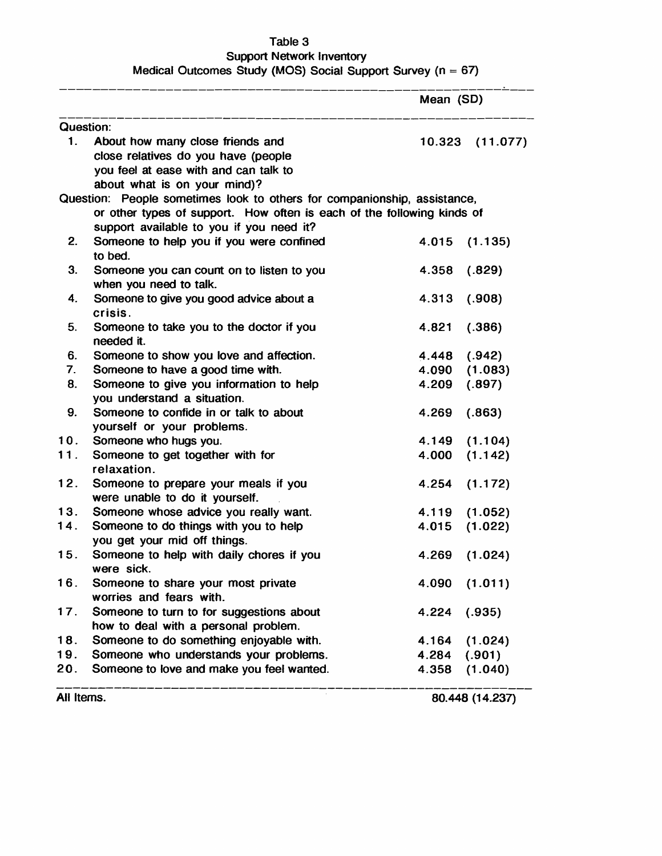#### **Table 3**

#### **Support Network Inventory Medical Outcomes Study (MOS) Social Support Survey (n = 67)**

 $\overline{\phantom{a}}$ 

|            |                                                                                                                                                  | Mean (SD) |                 |
|------------|--------------------------------------------------------------------------------------------------------------------------------------------------|-----------|-----------------|
|            | <b>Question:</b>                                                                                                                                 |           |                 |
| 1.         | About how many close friends and<br>close relatives do you have (people<br>you feel at ease with and can talk to<br>about what is on your mind)? |           | 10.323 (11.077) |
|            | Question: People sometimes look to others for companionship, assistance,                                                                         |           |                 |
|            | or other types of support. How often is each of the following kinds of                                                                           |           |                 |
|            | support available to you if you need it?                                                                                                         |           |                 |
| 2.         | Someone to help you if you were confined<br>to bed.                                                                                              | 4.015     | (1.135)         |
| 3.         | Someone you can count on to listen to you<br>when you need to talk.                                                                              | 4.358     | (.829)          |
| 4.         | Someone to give you good advice about a<br>crisis.                                                                                               | 4.313     | (.908)          |
| 5.         | Someone to take you to the doctor if you<br>needed it.                                                                                           | 4.821     | (.386)          |
| 6.         | Someone to show you love and affection.                                                                                                          | 4.448     | (.942)          |
| 7.         | Someone to have a good time with.                                                                                                                | 4.090     | (1.083)         |
| 8.         | Someone to give you information to help<br>you understand a situation.                                                                           | 4.209     | (.897)          |
| 9.         | Someone to confide in or talk to about<br>yourself or your problems.                                                                             | 4.269     | (.863)          |
| 10.        | Someone who hugs you.                                                                                                                            | 4.149     | (1.104)         |
| 11.        | Someone to get together with for<br>relaxation.                                                                                                  | 4.000     | (1.142)         |
| 12.        | Someone to prepare your meals if you<br>were unable to do it yourself.                                                                           | 4.254     | (1.172)         |
| 13.        | Someone whose advice you really want.                                                                                                            | 4.119     | (1.052)         |
| 14.        | Someone to do things with you to help<br>you get your mid off things.                                                                            | 4.015     | (1.022)         |
| 15.        | Someone to help with daily chores if you<br>were sick.                                                                                           | 4.269     | (1.024)         |
| 16.        | Someone to share your most private<br>worries and fears with.                                                                                    | 4.090     | (1.011)         |
| 17.        | Someone to turn to for suggestions about<br>how to deal with a personal problem.                                                                 | 4.224     | (.935)          |
| 18.        | Someone to do something enjoyable with.                                                                                                          | 4.164     | (1.024)         |
| 19.        | Someone who understands your problems.                                                                                                           | 4.284     | (.901)          |
| 20.        | Someone to love and make you feel wanted.                                                                                                        | 4.358     | (1.040)         |
| All Items. |                                                                                                                                                  |           | 80.448 (14.237) |